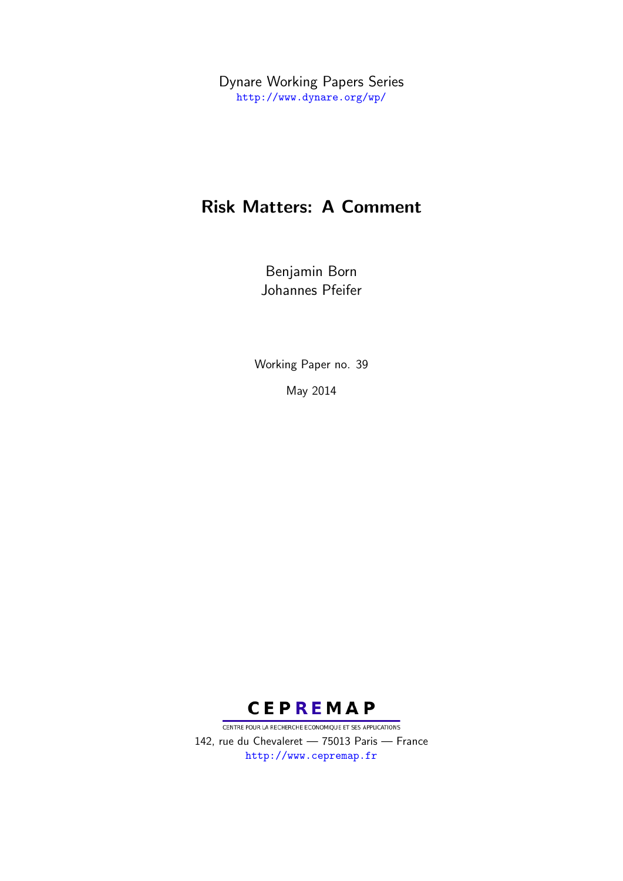Dynare Working Papers Series <http://www.dynare.org/wp/>

# Risk Matters: A Comment

Benjamin Born Johannes Pfeifer

Working Paper no. 39

May 2014



CENTRE POUR LA RECHERCHE ECONOMIQUE ET SES APPLICATIONS 142, rue du Chevaleret — 75013 Paris — France <http://www.cepremap.fr>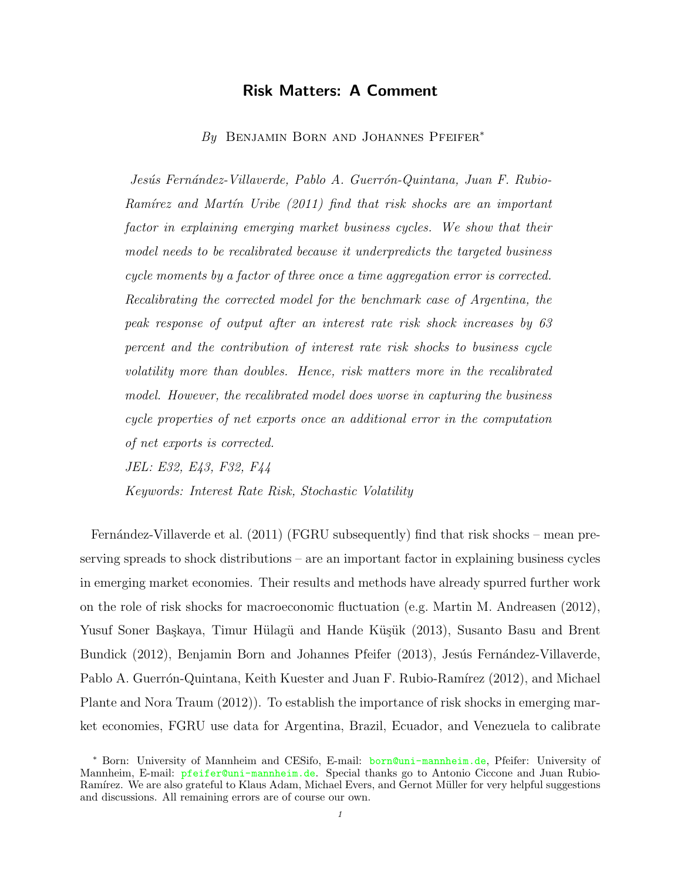# Risk Matters: A Comment

By BENJAMIN BORN AND JOHANNES PFEIFER<sup>\*</sup>

Jesús Fernández-Villaverde, Pablo A. Guerrón-Quintana, Juan F. Rubio-Ram $\acute{i}$ rez and Mart $\acute{i}n$  Uribe [\(2011\)](#page-13-0) find that risk shocks are an important factor in explaining emerging market business cycles. We show that their model needs to be recalibrated because it underpredicts the targeted business cycle moments by a factor of three once a time aggregation error is corrected. Recalibrating the corrected model for the benchmark case of Argentina, the peak response of output after an interest rate risk shock increases by 63 percent and the contribution of interest rate risk shocks to business cycle volatility more than doubles. Hence, risk matters more in the recalibrated model. However, the recalibrated model does worse in capturing the business cycle properties of net exports once an additional error in the computation of net exports is corrected.

JEL: E32, E43, F32, F44

Keywords: Interest Rate Risk, Stochastic Volatility

Fernández-Villaverde et al. [\(2011\)](#page-13-0) (FGRU subsequently) find that risk shocks – mean preserving spreads to shock distributions – are an important factor in explaining business cycles in emerging market economies. Their results and methods have already spurred further work on the role of risk shocks for macroeconomic fluctuation (e.g. [Martin M. Andreasen](#page-13-1) [\(2012\)](#page-13-1), Yusuf Soner Başkaya, Timur Hülagü and Hande Küşük [\(2013\)](#page-13-2), [Susanto Basu and Brent](#page-13-3) [Bundick](#page-13-3) [\(2012\)](#page-13-3), [Benjamin Born and Johannes Pfeifer](#page-13-4) [\(2013\)](#page-13-4), Jesús Fernández-Villaverde, Pablo A. Guerrón-Quintana, Keith Kuester and Juan F. Rubio-Ramírez [\(2012\)](#page-13-5), and [Michael](#page-14-0) [Plante and Nora Traum](#page-14-0) [\(2012\)](#page-14-0)). To establish the importance of risk shocks in emerging market economies, FGRU use data for Argentina, Brazil, Ecuador, and Venezuela to calibrate

<sup>∗</sup> Born: University of Mannheim and CESifo, E-mail: <born@uni-mannheim.de>, Pfeifer: University of Mannheim, E-mail: <pfeifer@uni-mannheim.de>. Special thanks go to Antonio Ciccone and Juan Rubio-Ramírez. We are also grateful to Klaus Adam, Michael Evers, and Gernot Müller for very helpful suggestions and discussions. All remaining errors are of course our own.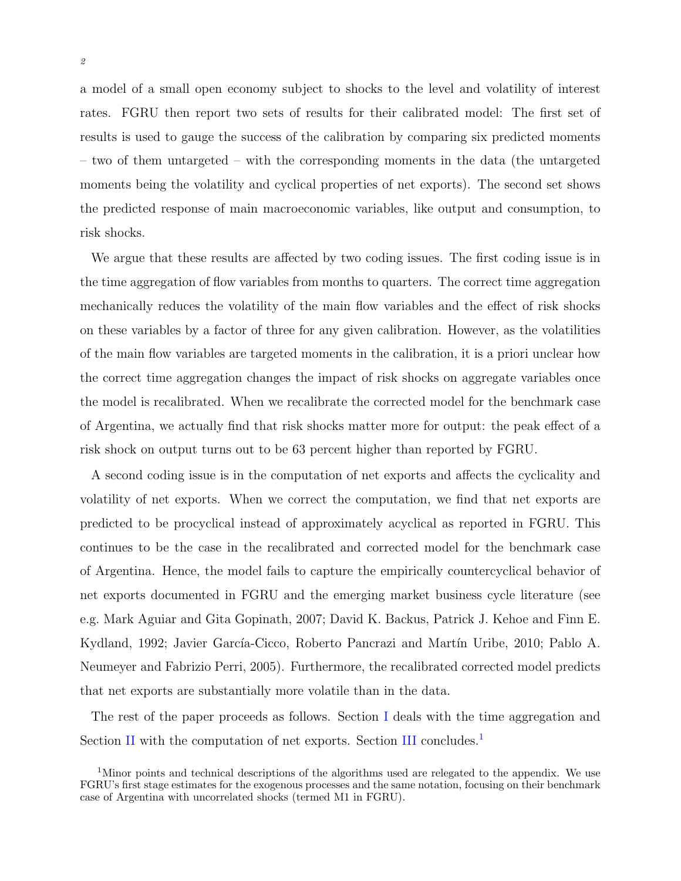a model of a small open economy subject to shocks to the level and volatility of interest rates. FGRU then report two sets of results for their calibrated model: The first set of results is used to gauge the success of the calibration by comparing six predicted moments – two of them untargeted – with the corresponding moments in the data (the untargeted moments being the volatility and cyclical properties of net exports). The second set shows the predicted response of main macroeconomic variables, like output and consumption, to risk shocks.

We argue that these results are affected by two coding issues. The first coding issue is in the time aggregation of flow variables from months to quarters. The correct time aggregation mechanically reduces the volatility of the main flow variables and the effect of risk shocks on these variables by a factor of three for any given calibration. However, as the volatilities of the main flow variables are targeted moments in the calibration, it is a priori unclear how the correct time aggregation changes the impact of risk shocks on aggregate variables once the model is recalibrated. When we recalibrate the corrected model for the benchmark case of Argentina, we actually find that risk shocks matter more for output: the peak effect of a risk shock on output turns out to be 63 percent higher than reported by FGRU.

A second coding issue is in the computation of net exports and affects the cyclicality and volatility of net exports. When we correct the computation, we find that net exports are predicted to be procyclical instead of approximately acyclical as reported in FGRU. This continues to be the case in the recalibrated and corrected model for the benchmark case of Argentina. Hence, the model fails to capture the empirically countercyclical behavior of net exports documented in FGRU and the emerging market business cycle literature (see e.g. [Mark Aguiar and Gita Gopinath,](#page-12-0) [2007;](#page-12-0) [David K. Backus, Patrick J. Kehoe and Finn E.](#page-13-6) [Kydland,](#page-13-6) [1992;](#page-13-6) Javier García-Cicco, Roberto Pancrazi and Martín Uribe, [2010;](#page-14-1) [Pablo A.](#page-14-2) [Neumeyer and Fabrizio Perri,](#page-14-2) [2005\)](#page-14-2). Furthermore, the recalibrated corrected model predicts that net exports are substantially more volatile than in the data.

The rest of the paper proceeds as follows. Section [I](#page-3-0) deals with the time aggregation and Section [II](#page-7-0) with the computation of net exports. Section [III](#page-12-1) concludes.<sup>[1](#page-2-0)</sup>

<span id="page-2-0"></span><sup>&</sup>lt;sup>1</sup>Minor points and technical descriptions of the algorithms used are relegated to the appendix. We use FGRU's first stage estimates for the exogenous processes and the same notation, focusing on their benchmark case of Argentina with uncorrelated shocks (termed M1 in FGRU).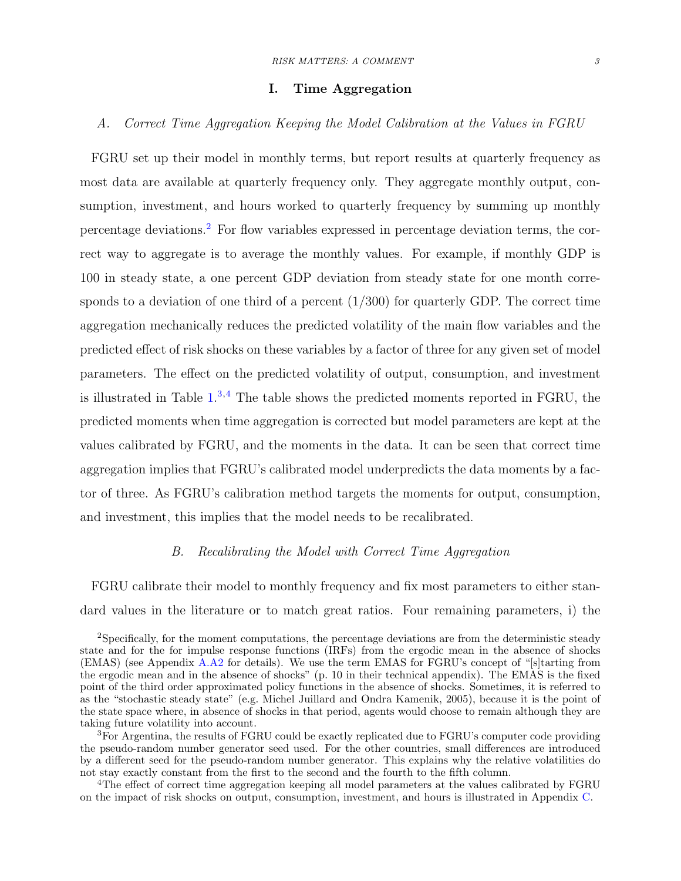#### I. Time Aggregation

# <span id="page-3-0"></span>A. Correct Time Aggregation Keeping the Model Calibration at the Values in FGRU

FGRU set up their model in monthly terms, but report results at quarterly frequency as most data are available at quarterly frequency only. They aggregate monthly output, consumption, investment, and hours worked to quarterly frequency by summing up monthly percentage deviations.[2](#page-3-1) For flow variables expressed in percentage deviation terms, the correct way to aggregate is to average the monthly values. For example, if monthly GDP is 100 in steady state, a one percent GDP deviation from steady state for one month corresponds to a deviation of one third of a percent  $(1/300)$  for quarterly GDP. The correct time aggregation mechanically reduces the predicted volatility of the main flow variables and the predicted effect of risk shocks on these variables by a factor of three for any given set of model parameters. The effect on the predicted volatility of output, consumption, and investment is illustrated in Table  $1^{3,4}$  $1^{3,4}$  $1^{3,4}$  $1^{3,4}$  The table shows the predicted moments reported in FGRU, the predicted moments when time aggregation is corrected but model parameters are kept at the values calibrated by FGRU, and the moments in the data. It can be seen that correct time aggregation implies that FGRU's calibrated model underpredicts the data moments by a factor of three. As FGRU's calibration method targets the moments for output, consumption, and investment, this implies that the model needs to be recalibrated.

# B. Recalibrating the Model with Correct Time Aggregation

FGRU calibrate their model to monthly frequency and fix most parameters to either standard values in the literature or to match great ratios. Four remaining parameters, i) the

<span id="page-3-1"></span><sup>2</sup>Specifically, for the moment computations, the percentage deviations are from the deterministic steady state and for the for impulse response functions (IRFs) from the ergodic mean in the absence of shocks (EMAS) (see Appendix [A.A2](#page-16-0) for details). We use the term EMAS for FGRU's concept of "[s]tarting from the ergodic mean and in the absence of shocks" (p. 10 in their technical appendix). The EMAS is the fixed point of the third order approximated policy functions in the absence of shocks. Sometimes, it is referred to as the "stochastic steady state" (e.g. [Michel Juillard and Ondra Kamenik,](#page-14-3) [2005\)](#page-14-3), because it is the point of the state space where, in absence of shocks in that period, agents would choose to remain although they are taking future volatility into account.

<span id="page-3-2"></span> ${}^{3}$ For Argentina, the results of FGRU could be exactly replicated due to FGRU's computer code providing the pseudo-random number generator seed used. For the other countries, small differences are introduced by a different seed for the pseudo-random number generator. This explains why the relative volatilities do not stay exactly constant from the first to the second and the fourth to the fifth column.

<span id="page-3-3"></span><sup>&</sup>lt;sup>4</sup>The effect of correct time aggregation keeping all model parameters at the values calibrated by FGRU on the impact of risk shocks on output, consumption, investment, and hours is illustrated in Appendix [C.](#page-23-0)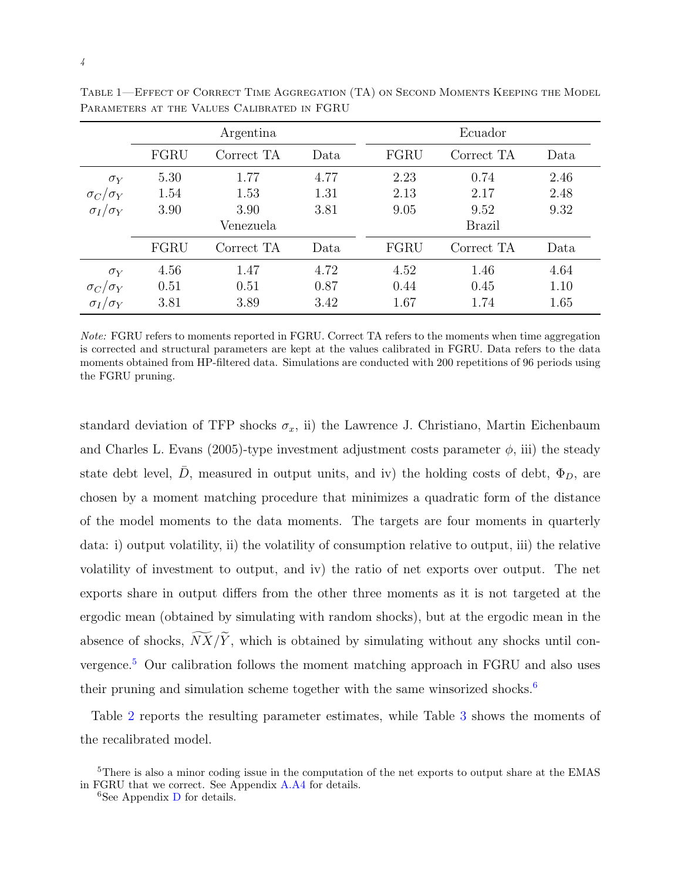|                     |           | Argentina  |      |               | Ecuador    |      |  |
|---------------------|-----------|------------|------|---------------|------------|------|--|
|                     | FGRU      | Correct TA | Data | FGRU          | Correct TA | Data |  |
| $\sigma_Y$          | 5.30      | 1.77       | 4.77 | 2.23          | 0.74       | 2.46 |  |
| $\sigma_C/\sigma_Y$ | 1.54      | 1.53       | 1.31 | 2.13          | 2.17       | 2.48 |  |
| $\sigma_I/\sigma_Y$ | 3.90      | 3.90       | 3.81 | 9.05          | 9.52       | 9.32 |  |
|                     | Venezuela |            |      | <b>Brazil</b> |            |      |  |
|                     | FGRU      | Correct TA | Data | FGRU          | Correct TA | Data |  |
| $\sigma_Y$          | 4.56      | 1.47       | 4.72 | 4.52          | 1.46       | 4.64 |  |
| $\sigma_C/\sigma_Y$ | 0.51      | 0.51       | 0.87 | 0.44          | 0.45       | 1.10 |  |
| $\sigma_I/\sigma_Y$ | 3.81      | 3.89       | 3.42 | 1.67          | 1.74       | 1.65 |  |

<span id="page-4-0"></span>Table 1—Effect of Correct Time Aggregation (TA) on Second Moments Keeping the Model Parameters at the Values Calibrated in FGRU

Note: FGRU refers to moments reported in FGRU. Correct TA refers to the moments when time aggregation is corrected and structural parameters are kept at the values calibrated in FGRU. Data refers to the data moments obtained from HP-filtered data. Simulations are conducted with 200 repetitions of 96 periods using the FGRU pruning.

standard deviation of TFP shocks  $\sigma_x$ , ii) the [Lawrence J. Christiano, Martin Eichenbaum](#page-13-7) [and Charles L. Evans](#page-13-7) [\(2005\)](#page-13-7)-type investment adjustment costs parameter  $\phi$ , iii) the steady state debt level,  $\bar{D}$ , measured in output units, and iv) the holding costs of debt,  $\Phi_D$ , are chosen by a moment matching procedure that minimizes a quadratic form of the distance of the model moments to the data moments. The targets are four moments in quarterly data: i) output volatility, ii) the volatility of consumption relative to output, iii) the relative volatility of investment to output, and iv) the ratio of net exports over output. The net exports share in output differs from the other three moments as it is not targeted at the ergodic mean (obtained by simulating with random shocks), but at the ergodic mean in the absence of shocks,  $\widetilde{NX}/\widetilde{Y}$ , which is obtained by simulating without any shocks until convergence.[5](#page-4-1) Our calibration follows the moment matching approach in FGRU and also uses their pruning and simulation scheme together with the same winsorized shocks.<sup>[6](#page-4-2)</sup>

Table [2](#page-5-0) reports the resulting parameter estimates, while Table [3](#page-6-0) shows the moments of the recalibrated model.

<span id="page-4-1"></span><sup>&</sup>lt;sup>5</sup>There is also a minor coding issue in the computation of the net exports to output share at the EMAS in FGRU that we correct. See Appendix [A.A4](#page-20-0) for details.

<span id="page-4-2"></span><sup>&</sup>lt;sup>6</sup>See Appendix  $\overline{D}$  $\overline{D}$  $\overline{D}$  for details.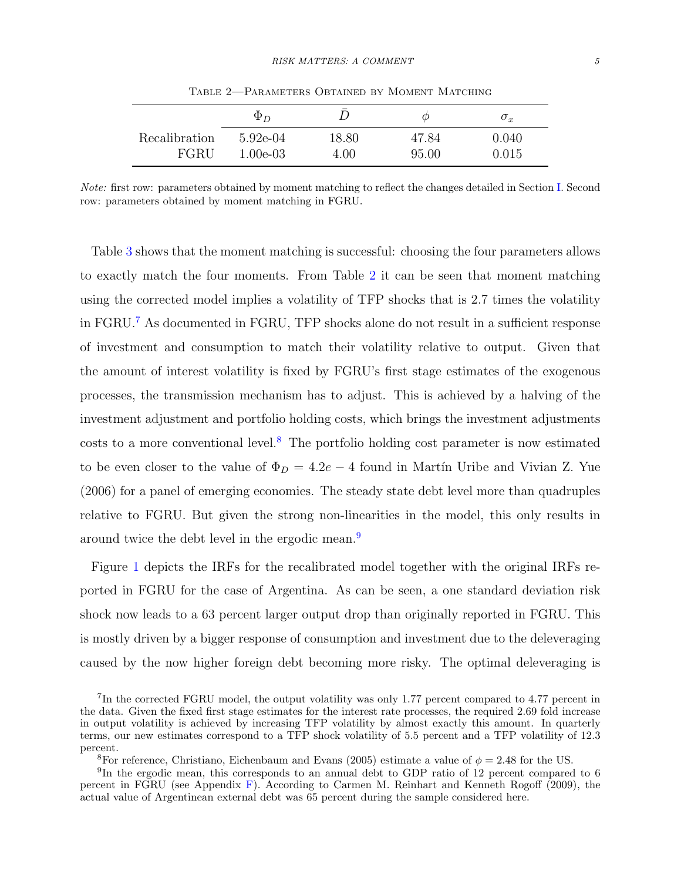|               | $\Phi_D$    |       | ω     | $\sigma_x$ |
|---------------|-------------|-------|-------|------------|
| Recalibration | $5.92e-04$  | 18.80 | 47.84 | $0.040\,$  |
| FGRU          | $1.00e-0.3$ | 4.00  | 95.00 | $0.015\,$  |

<span id="page-5-0"></span>Table 2—Parameters Obtained by Moment Matching

Note: first row: parameters obtained by moment matching to reflect the changes detailed in Section [I.](#page-3-0) Second row: parameters obtained by moment matching in FGRU.

Table [3](#page-6-0) shows that the moment matching is successful: choosing the four parameters allows to exactly match the four moments. From Table [2](#page-5-0) it can be seen that moment matching using the corrected model implies a volatility of TFP shocks that is 2.7 times the volatility in FGRU.[7](#page-5-1) As documented in FGRU, TFP shocks alone do not result in a sufficient response of investment and consumption to match their volatility relative to output. Given that the amount of interest volatility is fixed by FGRU's first stage estimates of the exogenous processes, the transmission mechanism has to adjust. This is achieved by a halving of the investment adjustment and portfolio holding costs, which brings the investment adjustments costs to a more conventional level.<sup>[8](#page-5-2)</sup> The portfolio holding cost parameter is now estimated to be even closer to the value of  $\Phi_D = 4.2e - 4$  found in Martin Uribe and Vivian Z. Yue [\(2006\)](#page-14-4) for a panel of emerging economies. The steady state debt level more than quadruples relative to FGRU. But given the strong non-linearities in the model, this only results in around twice the debt level in the ergodic mean.[9](#page-5-3)

Figure [1](#page-6-1) depicts the IRFs for the recalibrated model together with the original IRFs reported in FGRU for the case of Argentina. As can be seen, a one standard deviation risk shock now leads to a 63 percent larger output drop than originally reported in FGRU. This is mostly driven by a bigger response of consumption and investment due to the deleveraging caused by the now higher foreign debt becoming more risky. The optimal deleveraging is

<span id="page-5-1"></span><sup>&</sup>lt;sup>7</sup>In the corrected FGRU model, the output volatility was only 1.77 percent compared to 4.77 percent in the data. Given the fixed first stage estimates for the interest rate processes, the required 2.69 fold increase in output volatility is achieved by increasing TFP volatility by almost exactly this amount. In quarterly terms, our new estimates correspond to a TFP shock volatility of 5.5 percent and a TFP volatility of 12.3 percent.

<span id="page-5-3"></span><span id="page-5-2"></span><sup>&</sup>lt;sup>8</sup>For reference, [Christiano, Eichenbaum and Evans](#page-13-7) [\(2005\)](#page-13-7) estimate a value of  $\phi = 2.48$  for the US.

<sup>&</sup>lt;sup>9</sup>In the ergodic mean, this corresponds to an annual debt to GDP ratio of 12 percent compared to 6 percent in FGRU (see Appendix [F\)](#page-31-0). According to [Carmen M. Reinhart and Kenneth Rogoff](#page-14-5) [\(2009\)](#page-14-5), the actual value of Argentinean external debt was 65 percent during the sample considered here.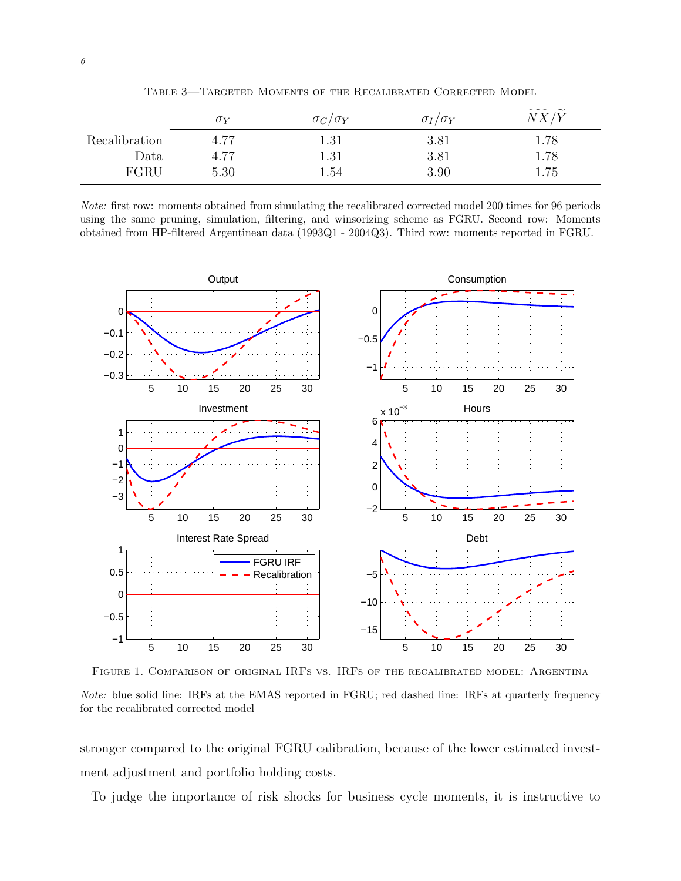|               | $\sigma_Y$ | $\sigma_C/\sigma_Y$ | $\sigma_I/\sigma_Y$ | $\widetilde{\mathcal{M}}$ |
|---------------|------------|---------------------|---------------------|---------------------------|
| Recalibration | 4.77       | $1.31\,$            | 3.81                | 1.78                      |
| Data          | 4.77       | 1.31                | 3.81                | 1.78                      |
| FGRU          | 5.30       | 1.54                | 3.90                | 1.75                      |

<span id="page-6-0"></span>Table 3—Targeted Moments of the Recalibrated Corrected Model

Note: first row: moments obtained from simulating the recalibrated corrected model 200 times for 96 periods using the same pruning, simulation, filtering, and winsorizing scheme as FGRU. Second row: Moments obtained from HP-filtered Argentinean data (1993Q1 - 2004Q3). Third row: moments reported in FGRU.



<span id="page-6-1"></span>Figure 1. Comparison of original IRFs vs. IRFs of the recalibrated model: Argentina Note: blue solid line: IRFs at the EMAS reported in FGRU; red dashed line: IRFs at quarterly frequency for the recalibrated corrected model

stronger compared to the original FGRU calibration, because of the lower estimated investment adjustment and portfolio holding costs.

To judge the importance of risk shocks for business cycle moments, it is instructive to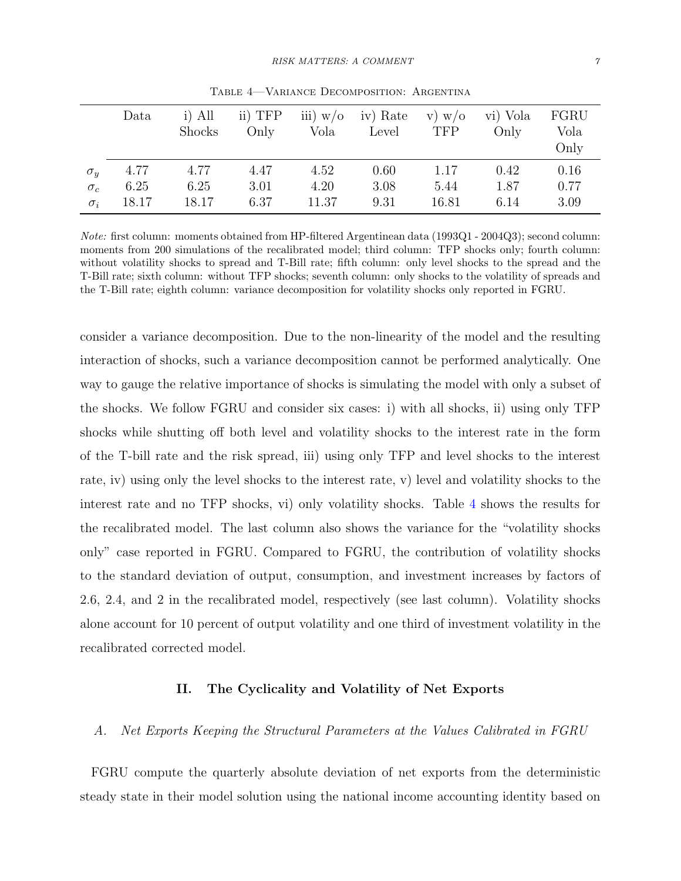|            | Data  | $i)$ All      | ii) TFP | iii) $w/o$ | iv) Rate | $\mathbf{v}) \mathbf{w} / \mathbf{o}$ | vi) Vola | FGRU |
|------------|-------|---------------|---------|------------|----------|---------------------------------------|----------|------|
|            |       | <b>Shocks</b> | Only    | Vola       | Level    | <b>TFP</b>                            | Only     | Vola |
|            |       |               |         |            |          |                                       |          | Only |
| $\sigma_y$ | 4.77  | 4.77          | 4.47    | 4.52       | 0.60     | 1.17                                  | 0.42     | 0.16 |
| $\sigma_c$ | 6.25  | 6.25          | 3.01    | 4.20       | 3.08     | 5.44                                  | 1.87     | 0.77 |
| $\sigma_i$ | 18.17 | 18.17         | 6.37    | 11.37      | 9.31     | 16.81                                 | 6.14     | 3.09 |

<span id="page-7-1"></span>Table 4—Variance Decomposition: Argentina

Note: first column: moments obtained from HP-filtered Argentinean data (1993Q1 - 2004Q3); second column: moments from 200 simulations of the recalibrated model; third column: TFP shocks only; fourth column: without volatility shocks to spread and T-Bill rate; fifth column: only level shocks to the spread and the T-Bill rate; sixth column: without TFP shocks; seventh column: only shocks to the volatility of spreads and the T-Bill rate; eighth column: variance decomposition for volatility shocks only reported in FGRU.

consider a variance decomposition. Due to the non-linearity of the model and the resulting interaction of shocks, such a variance decomposition cannot be performed analytically. One way to gauge the relative importance of shocks is simulating the model with only a subset of the shocks. We follow FGRU and consider six cases: i) with all shocks, ii) using only TFP shocks while shutting off both level and volatility shocks to the interest rate in the form of the T-bill rate and the risk spread, iii) using only TFP and level shocks to the interest rate, iv) using only the level shocks to the interest rate, v) level and volatility shocks to the interest rate and no TFP shocks, vi) only volatility shocks. Table [4](#page-7-1) shows the results for the recalibrated model. The last column also shows the variance for the "volatility shocks only" case reported in FGRU. Compared to FGRU, the contribution of volatility shocks to the standard deviation of output, consumption, and investment increases by factors of 2.6, 2.4, and 2 in the recalibrated model, respectively (see last column). Volatility shocks alone account for 10 percent of output volatility and one third of investment volatility in the recalibrated corrected model.

#### II. The Cyclicality and Volatility of Net Exports

#### <span id="page-7-0"></span>A. Net Exports Keeping the Structural Parameters at the Values Calibrated in FGRU

FGRU compute the quarterly absolute deviation of net exports from the deterministic steady state in their model solution using the national income accounting identity based on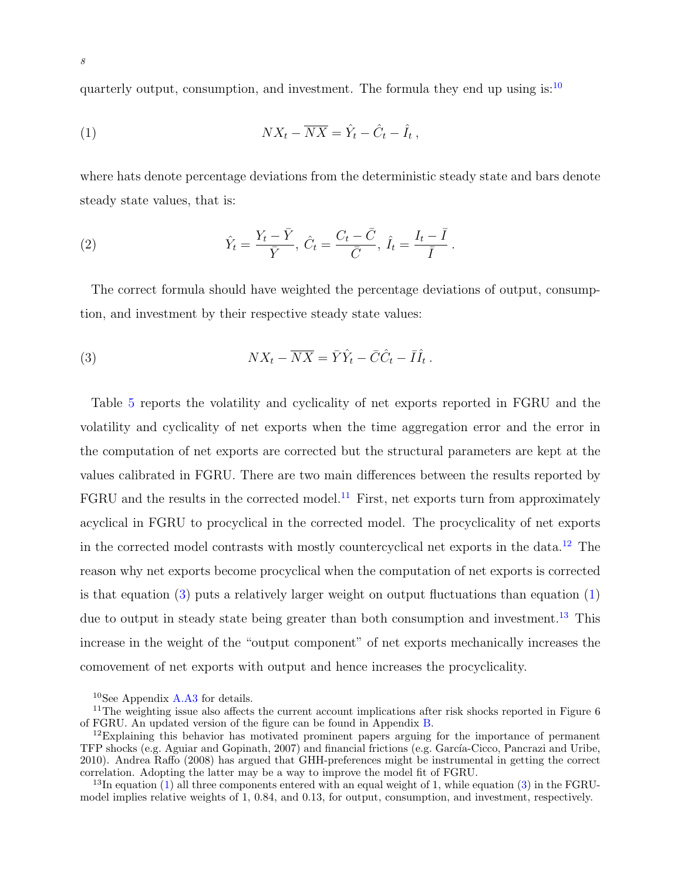quarterly output, consumption, and investment. The formula they end up using is: $10$ 

<span id="page-8-4"></span>
$$
(1) \t\t N X_t - \overline{N} \overline{X} = \hat{Y}_t - \hat{C}_t - \hat{I}_t,
$$

where hats denote percentage deviations from the deterministic steady state and bars denote steady state values, that is:

(2) 
$$
\hat{Y}_t = \frac{Y_t - \bar{Y}}{\bar{Y}}, \ \hat{C}_t = \frac{C_t - \bar{C}}{\bar{C}}, \ \hat{I}_t = \frac{I_t - \bar{I}}{\bar{I}}.
$$

The correct formula should have weighted the percentage deviations of output, consumption, and investment by their respective steady state values:

<span id="page-8-3"></span>(3) 
$$
NX_t - \overline{NX} = \overline{Y}\hat{Y}_t - \overline{C}\hat{C}_t - \overline{I}\hat{I}_t.
$$

Table [5](#page-9-0) reports the volatility and cyclicality of net exports reported in FGRU and the volatility and cyclicality of net exports when the time aggregation error and the error in the computation of net exports are corrected but the structural parameters are kept at the values calibrated in FGRU. There are two main differences between the results reported by  $FGRU$  and the results in the corrected model.<sup>[11](#page-8-1)</sup> First, net exports turn from approximately acyclical in FGRU to procyclical in the corrected model. The procyclicality of net exports in the corrected model contrasts with mostly countercyclical net exports in the data.[12](#page-8-2) The reason why net exports become procyclical when the computation of net exports is corrected is that equation  $(3)$  puts a relatively larger weight on output fluctuations than equation  $(1)$ due to output in steady state being greater than both consumption and investment.<sup>[13](#page-8-5)</sup> This increase in the weight of the "output component" of net exports mechanically increases the comovement of net exports with output and hence increases the procyclicality.

<span id="page-8-1"></span><span id="page-8-0"></span><sup>10</sup>See Appendix [A.A3](#page-19-0) for details.

<sup>&</sup>lt;sup>11</sup>The weighting issue also affects the current account implications after risk shocks reported in Figure 6 of FGRU. An updated version of the figure can be found in Appendix [B.](#page-21-0)

<span id="page-8-2"></span> $12$ Explaining this behavior has motivated prominent papers arguing for the importance of permanent TFP shocks (e.g. [Aguiar and Gopinath,](#page-12-0) [2007\)](#page-12-0) and financial frictions (e.g. García-Cicco, Pancrazi and Uribe, [2010\)](#page-14-1). [Andrea Raffo](#page-14-6) [\(2008\)](#page-14-6) has argued that GHH-preferences might be instrumental in getting the correct correlation. Adopting the latter may be a way to improve the model fit of FGRU.

<span id="page-8-5"></span><sup>&</sup>lt;sup>13</sup>In equation [\(1\)](#page-8-4) all three components entered with an equal weight of 1, while equation [\(3\)](#page-8-3) in the FGRUmodel implies relative weights of 1, 0.84, and 0.13, for output, consumption, and investment, respectively.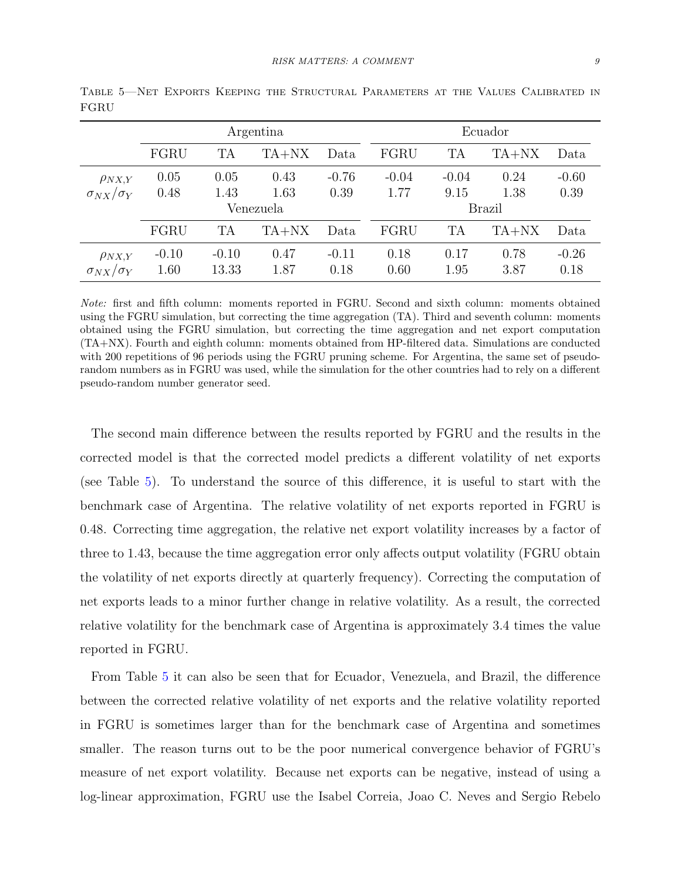|                                         | Argentina       |                  |              | Ecuador         |              |              |              |                 |
|-----------------------------------------|-----------------|------------------|--------------|-----------------|--------------|--------------|--------------|-----------------|
|                                         | FGRU            | <b>TA</b>        | TA+NX        | Data            | FGRU         | <b>TA</b>    | $TA+NX$      | Data            |
| $\rho_{NX,Y}$                           | 0.05            | 0.05             | 0.43         | $-0.76$         | $-0.04$      | $-0.04$      | 0.24         | $-0.60$         |
| $\sigma_{NX}/\sigma_Y$                  | 0.48            | 1.43             | 1.63         | 0.39            | 1.77         | 9.15         | 1.38         | 0.39            |
|                                         |                 |                  | Venezuela    |                 | Brazil       |              |              |                 |
|                                         | FGRU            | <b>TA</b>        | $TA+NX$      | Data            | FGRU         | <b>TA</b>    | $TA+NX$      | Data            |
| $\rho_{NX,Y}$<br>$\sigma_{NX}/\sigma_Y$ | $-0.10$<br>1.60 | $-0.10$<br>13.33 | 0.47<br>1.87 | $-0.11$<br>0.18 | 0.18<br>0.60 | 0.17<br>1.95 | 0.78<br>3.87 | $-0.26$<br>0.18 |

<span id="page-9-0"></span>Table 5—Net Exports Keeping the Structural Parameters at the Values Calibrated in FGRU

Note: first and fifth column: moments reported in FGRU. Second and sixth column: moments obtained using the FGRU simulation, but correcting the time aggregation (TA). Third and seventh column: moments obtained using the FGRU simulation, but correcting the time aggregation and net export computation (TA+NX). Fourth and eighth column: moments obtained from HP-filtered data. Simulations are conducted with 200 repetitions of 96 periods using the FGRU pruning scheme. For Argentina, the same set of pseudorandom numbers as in FGRU was used, while the simulation for the other countries had to rely on a different pseudo-random number generator seed.

The second main difference between the results reported by FGRU and the results in the corrected model is that the corrected model predicts a different volatility of net exports (see Table [5\)](#page-9-0). To understand the source of this difference, it is useful to start with the benchmark case of Argentina. The relative volatility of net exports reported in FGRU is 0.48. Correcting time aggregation, the relative net export volatility increases by a factor of three to 1.43, because the time aggregation error only affects output volatility (FGRU obtain the volatility of net exports directly at quarterly frequency). Correcting the computation of net exports leads to a minor further change in relative volatility. As a result, the corrected relative volatility for the benchmark case of Argentina is approximately 3.4 times the value reported in FGRU.

From Table [5](#page-9-0) it can also be seen that for Ecuador, Venezuela, and Brazil, the difference between the corrected relative volatility of net exports and the relative volatility reported in FGRU is sometimes larger than for the benchmark case of Argentina and sometimes smaller. The reason turns out to be the poor numerical convergence behavior of FGRU's measure of net export volatility. Because net exports can be negative, instead of using a log-linear approximation, FGRU use the [Isabel Correia, Joao C. Neves and Sergio Rebelo](#page-13-8)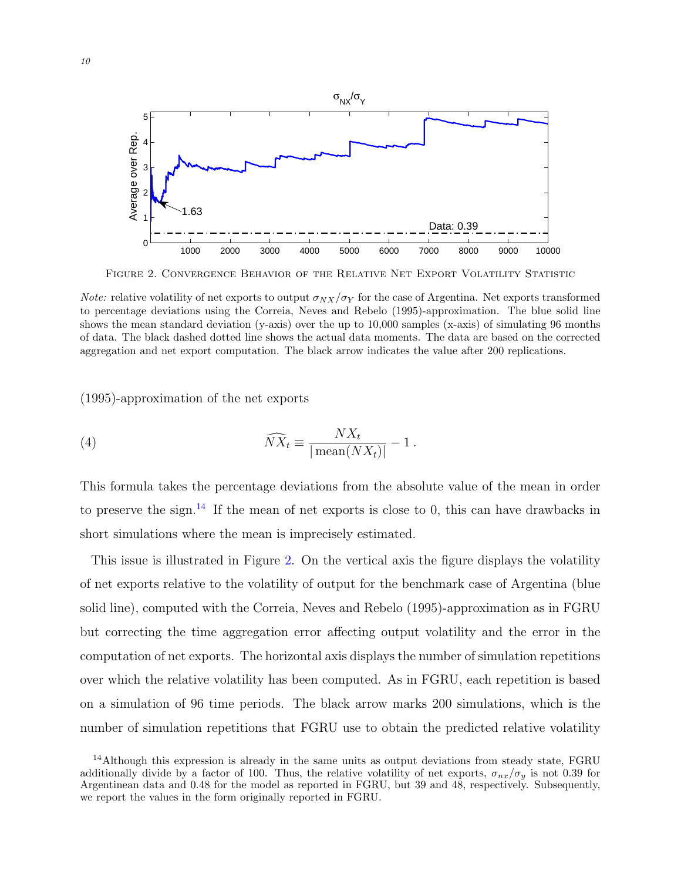

<span id="page-10-1"></span>Figure 2. Convergence Behavior of the Relative Net Export Volatility Statistic

*Note:* relative volatility of net exports to output  $\sigma_{NX}/\sigma_Y$  for the case of Argentina. Net exports transformed to percentage deviations using the [Correia, Neves and Rebelo](#page-13-8) [\(1995\)](#page-13-8)-approximation. The blue solid line shows the mean standard deviation (y-axis) over the up to 10,000 samples (x-axis) of simulating 96 months of data. The black dashed dotted line shows the actual data moments. The data are based on the corrected aggregation and net export computation. The black arrow indicates the value after 200 replications.

[\(1995\)](#page-13-8)-approximation of the net exports

(4) 
$$
\widehat{NX}_t \equiv \frac{NX_t}{|\operatorname{mean}(NX_t)|} - 1.
$$

This formula takes the percentage deviations from the absolute value of the mean in order to preserve the sign.<sup>[14](#page-10-0)</sup> If the mean of net exports is close to 0, this can have drawbacks in short simulations where the mean is imprecisely estimated.

This issue is illustrated in Figure [2.](#page-10-1) On the vertical axis the figure displays the volatility of net exports relative to the volatility of output for the benchmark case of Argentina (blue solid line), computed with the [Correia, Neves and Rebelo](#page-13-8) [\(1995\)](#page-13-8)-approximation as in FGRU but correcting the time aggregation error affecting output volatility and the error in the computation of net exports. The horizontal axis displays the number of simulation repetitions over which the relative volatility has been computed. As in FGRU, each repetition is based on a simulation of 96 time periods. The black arrow marks 200 simulations, which is the number of simulation repetitions that FGRU use to obtain the predicted relative volatility

<span id="page-10-0"></span> $14$ Although this expression is already in the same units as output deviations from steady state, FGRU additionally divide by a factor of 100. Thus, the relative volatility of net exports,  $\sigma_{nx}/\sigma_y$  is not 0.39 for Argentinean data and 0.48 for the model as reported in FGRU, but 39 and 48, respectively. Subsequently, we report the values in the form originally reported in FGRU.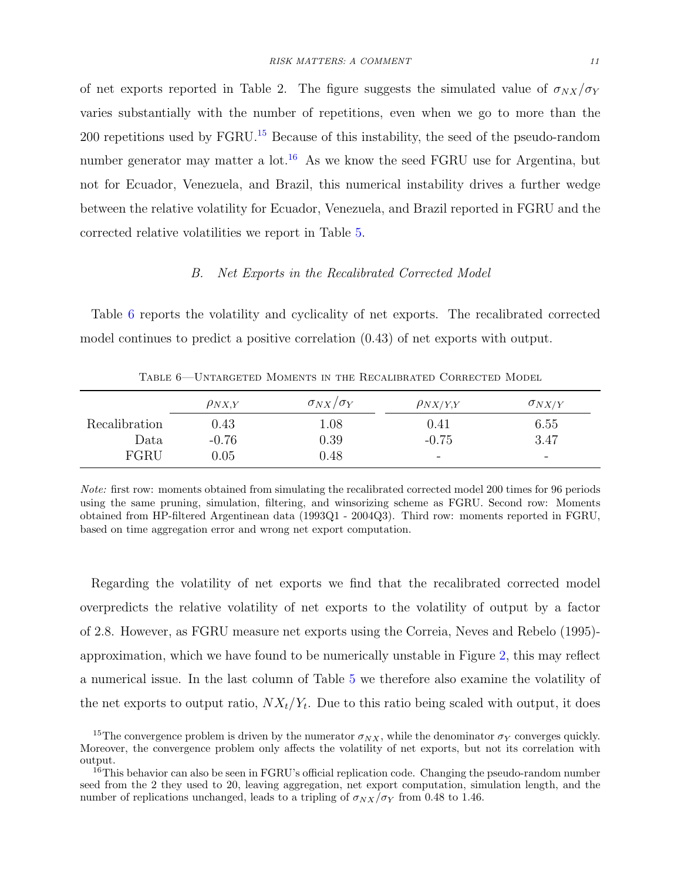of net exports reported in Table 2. The figure suggests the simulated value of  $\sigma_{NX}/\sigma_Y$ varies substantially with the number of repetitions, even when we go to more than the 200 repetitions used by FGRU.[15](#page-11-0) Because of this instability, the seed of the pseudo-random number generator may matter a lot.<sup>[16](#page-11-1)</sup> As we know the seed FGRU use for Argentina, but not for Ecuador, Venezuela, and Brazil, this numerical instability drives a further wedge between the relative volatility for Ecuador, Venezuela, and Brazil reported in FGRU and the corrected relative volatilities we report in Table [5.](#page-9-0)

#### B. Net Exports in the Recalibrated Corrected Model

Table [6](#page-11-2) reports the volatility and cyclicality of net exports. The recalibrated corrected model continues to predict a positive correlation (0.43) of net exports with output.

|               | $\rho_{NX,Y}$ | $\sigma_{NX}/\sigma_Y$ | $\rho_{NX/Y,Y}$          | $\sigma_{NX/Y}$          |
|---------------|---------------|------------------------|--------------------------|--------------------------|
| Recalibration | 0.43          | 1.08                   | $\rm 0.41$               | 6.55                     |
| Data          | $-0.76$       | 0.39                   | $-0.75$                  | 3.47                     |
| FGRU          | 0.05          | 0.48                   | $\overline{\phantom{0}}$ | $\overline{\phantom{0}}$ |

<span id="page-11-2"></span>Table 6—Untargeted Moments in the Recalibrated Corrected Model

Regarding the volatility of net exports we find that the recalibrated corrected model overpredicts the relative volatility of net exports to the volatility of output by a factor of 2.8. However, as FGRU measure net exports using the [Correia, Neves and Rebelo](#page-13-8) [\(1995\)](#page-13-8) approximation, which we have found to be numerically unstable in Figure [2,](#page-10-1) this may reflect a numerical issue. In the last column of Table [5](#page-9-0) we therefore also examine the volatility of the net exports to output ratio,  $NX_t/Y_t$ . Due to this ratio being scaled with output, it does

Note: first row: moments obtained from simulating the recalibrated corrected model 200 times for 96 periods using the same pruning, simulation, filtering, and winsorizing scheme as FGRU. Second row: Moments obtained from HP-filtered Argentinean data (1993Q1 - 2004Q3). Third row: moments reported in FGRU, based on time aggregation error and wrong net export computation.

<span id="page-11-0"></span><sup>&</sup>lt;sup>15</sup>The convergence problem is driven by the numerator  $\sigma_{NX}$ , while the denominator  $\sigma_Y$  converges quickly. Moreover, the convergence problem only affects the volatility of net exports, but not its correlation with output.

<span id="page-11-1"></span> $16$ This behavior can also be seen in FGRU's official replication code. Changing the pseudo-random number seed from the 2 they used to 20, leaving aggregation, net export computation, simulation length, and the number of replications unchanged, leads to a tripling of  $\sigma_{NX}/\sigma_Y$  from 0.48 to 1.46.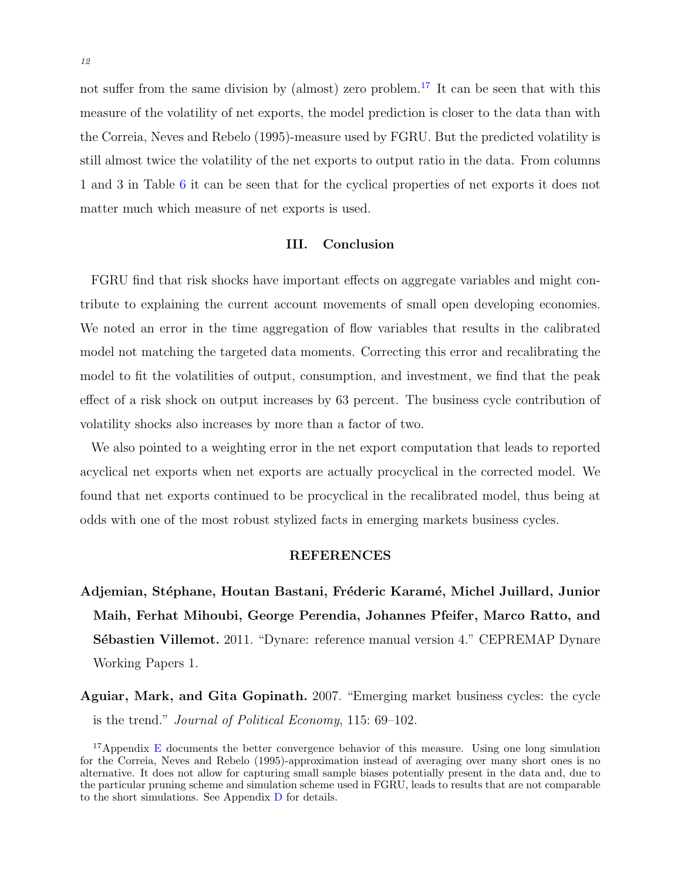not suffer from the same division by (almost) zero problem.<sup>[17](#page-12-2)</sup> It can be seen that with this measure of the volatility of net exports, the model prediction is closer to the data than with the [Correia, Neves and Rebelo](#page-13-8) [\(1995\)](#page-13-8)-measure used by FGRU. But the predicted volatility is still almost twice the volatility of the net exports to output ratio in the data. From columns 1 and 3 in Table [6](#page-11-2) it can be seen that for the cyclical properties of net exports it does not matter much which measure of net exports is used.

# III. Conclusion

<span id="page-12-1"></span>FGRU find that risk shocks have important effects on aggregate variables and might contribute to explaining the current account movements of small open developing economies. We noted an error in the time aggregation of flow variables that results in the calibrated model not matching the targeted data moments. Correcting this error and recalibrating the model to fit the volatilities of output, consumption, and investment, we find that the peak effect of a risk shock on output increases by 63 percent. The business cycle contribution of volatility shocks also increases by more than a factor of two.

We also pointed to a weighting error in the net export computation that leads to reported acyclical net exports when net exports are actually procyclical in the corrected model. We found that net exports continued to be procyclical in the recalibrated model, thus being at odds with one of the most robust stylized facts in emerging markets business cycles.

#### REFERENCES

<span id="page-12-3"></span>Adjemian, Stéphane, Houtan Bastani, Fréderic Karamé, Michel Juillard, Junior Maih, Ferhat Mihoubi, George Perendia, Johannes Pfeifer, Marco Ratto, and **S**'ebastien Villemot. 2011. "Dynare: reference manual version 4." CEPREMAP Dynare Working Papers 1.

<span id="page-12-0"></span>Aguiar, Mark, and Gita Gopinath. 2007. "Emerging market business cycles: the cycle is the trend." Journal of Political Economy, 115: 69–102.

<span id="page-12-2"></span><sup>&</sup>lt;sup>17</sup>Appendix [E](#page-30-0) documents the better convergence behavior of this measure. Using one long simulation for the [Correia, Neves and Rebelo](#page-13-8) [\(1995\)](#page-13-8)-approximation instead of averaging over many short ones is no alternative. It does not allow for capturing small sample biases potentially present in the data and, due to the particular pruning scheme and simulation scheme used in FGRU, leads to results that are not comparable to the short simulations. See Appendix [D](#page-27-0) for details.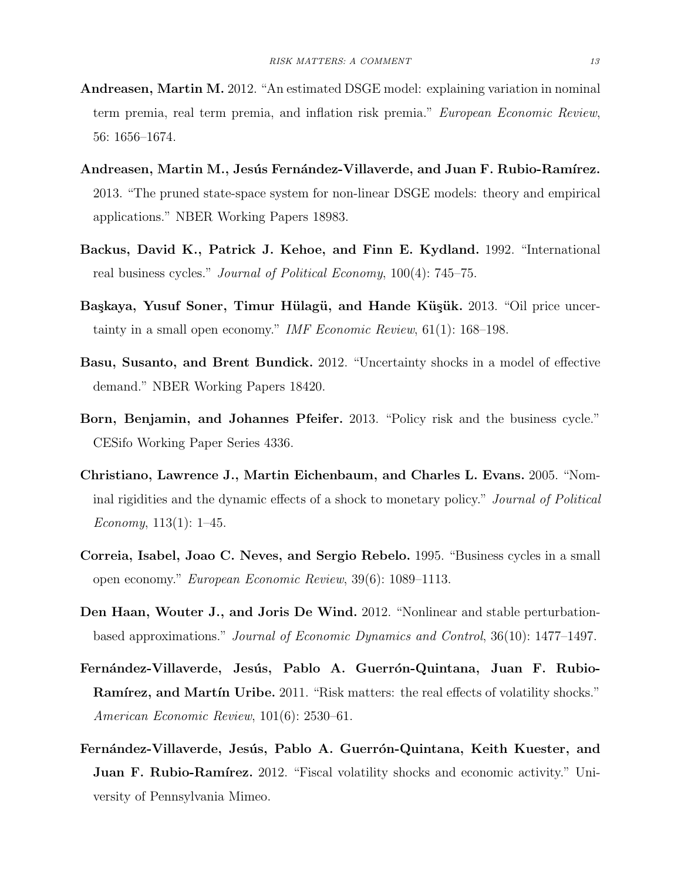- <span id="page-13-1"></span>Andreasen, Martin M. 2012. "An estimated DSGE model: explaining variation in nominal term premia, real term premia, and inflation risk premia." European Economic Review, 56: 1656–1674.
- <span id="page-13-9"></span>Andreasen, Martin M., Jesús Fernández-Villaverde, and Juan F. Rubio-Ramírez. 2013. "The pruned state-space system for non-linear DSGE models: theory and empirical applications." NBER Working Papers 18983.
- <span id="page-13-6"></span>Backus, David K., Patrick J. Kehoe, and Finn E. Kydland. 1992. "International real business cycles." Journal of Political Economy, 100(4): 745–75.
- <span id="page-13-2"></span>Başkaya, Yusuf Soner, Timur Hülagü, and Hande Küşük. 2013. "Oil price uncertainty in a small open economy." IMF Economic Review, 61(1): 168–198.
- <span id="page-13-3"></span>Basu, Susanto, and Brent Bundick. 2012. "Uncertainty shocks in a model of effective demand." NBER Working Papers 18420.
- <span id="page-13-4"></span>Born, Benjamin, and Johannes Pfeifer. 2013. "Policy risk and the business cycle." CESifo Working Paper Series 4336.
- <span id="page-13-7"></span>Christiano, Lawrence J., Martin Eichenbaum, and Charles L. Evans. 2005. "Nominal rigidities and the dynamic effects of a shock to monetary policy." Journal of Political Economy,  $113(1)$ : 1–45.
- <span id="page-13-8"></span>Correia, Isabel, Joao C. Neves, and Sergio Rebelo. 1995. "Business cycles in a small open economy." European Economic Review, 39(6): 1089–1113.
- <span id="page-13-10"></span>Den Haan, Wouter J., and Joris De Wind. 2012. "Nonlinear and stable perturbationbased approximations." Journal of Economic Dynamics and Control, 36(10): 1477–1497.
- <span id="page-13-0"></span>Fernández-Villaverde, Jesús, Pablo A. Guerrón-Quintana, Juan F. Rubio-Ramírez, and Martín Uribe. 2011. "Risk matters: the real effects of volatility shocks." American Economic Review, 101(6): 2530–61.
- <span id="page-13-5"></span>Fernández-Villaverde, Jesús, Pablo A. Guerrón-Quintana, Keith Kuester, and **Juan F. Rubio-Ramírez.** 2012. "Fiscal volatility shocks and economic activity." University of Pennsylvania Mimeo.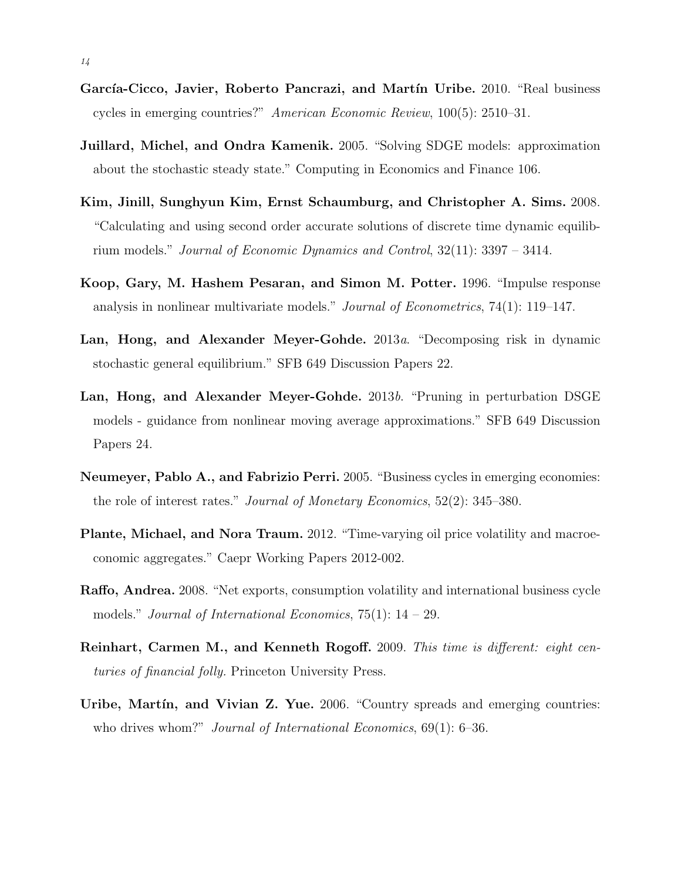- <span id="page-14-1"></span>García-Cicco, Javier, Roberto Pancrazi, and Martín Uribe. 2010. "Real business cycles in emerging countries?" American Economic Review, 100(5): 2510–31.
- <span id="page-14-3"></span>Juillard, Michel, and Ondra Kamenik. 2005. "Solving SDGE models: approximation about the stochastic steady state." Computing in Economics and Finance 106.
- <span id="page-14-8"></span>Kim, Jinill, Sunghyun Kim, Ernst Schaumburg, and Christopher A. Sims. 2008. "Calculating and using second order accurate solutions of discrete time dynamic equilibrium models." Journal of Economic Dynamics and Control, 32(11): 3397 – 3414.
- <span id="page-14-7"></span>Koop, Gary, M. Hashem Pesaran, and Simon M. Potter. 1996. "Impulse response analysis in nonlinear multivariate models." Journal of Econometrics, 74(1): 119–147.
- <span id="page-14-10"></span>Lan, Hong, and Alexander Meyer-Gohde. 2013a. "Decomposing risk in dynamic stochastic general equilibrium." SFB 649 Discussion Papers 22.
- <span id="page-14-9"></span>Lan, Hong, and Alexander Meyer-Gohde. 2013b. "Pruning in perturbation DSGE models - guidance from nonlinear moving average approximations." SFB 649 Discussion Papers 24.
- <span id="page-14-2"></span>Neumeyer, Pablo A., and Fabrizio Perri. 2005. "Business cycles in emerging economies: the role of interest rates." Journal of Monetary Economics, 52(2): 345–380.
- <span id="page-14-0"></span>Plante, Michael, and Nora Traum. 2012. "Time-varying oil price volatility and macroeconomic aggregates." Caepr Working Papers 2012-002.
- <span id="page-14-6"></span>Raffo, Andrea. 2008. "Net exports, consumption volatility and international business cycle models." Journal of International Economics,  $75(1)$ :  $14 - 29$ .
- <span id="page-14-5"></span>Reinhart, Carmen M., and Kenneth Rogoff. 2009. This time is different: eight centuries of financial folly. Princeton University Press.
- <span id="page-14-4"></span>Uribe, Martín, and Vivian Z. Yue. 2006. "Country spreads and emerging countries: who drives whom?" Journal of International Economics, 69(1): 6-36.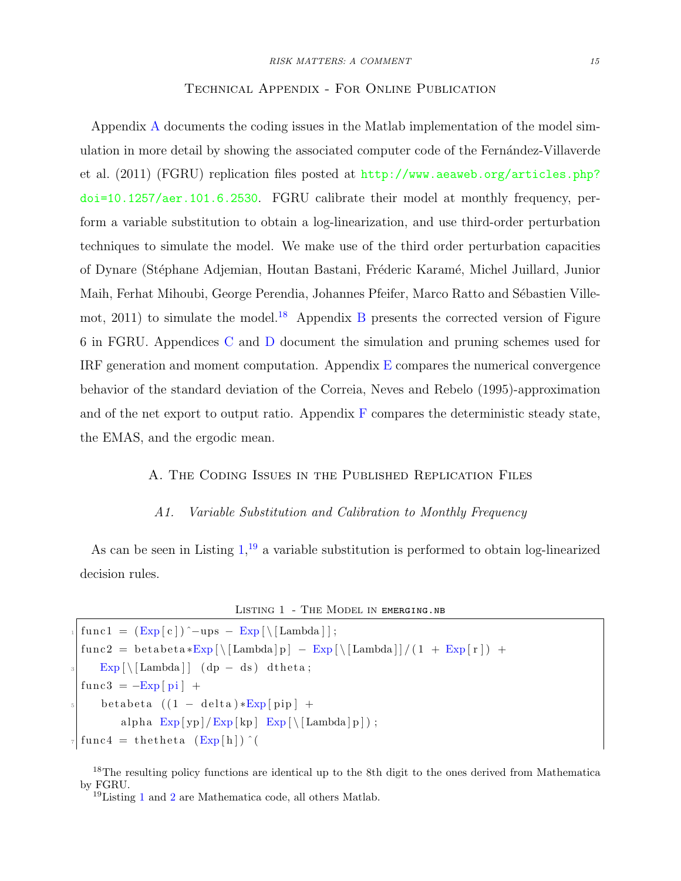#### Technical Appendix - For Online Publication

<span id="page-15-0"></span>Appendix [A](#page-15-0) documents the coding issues in the Matlab implementation of the model simulation in more detail by showing the associated computer code of the Fernandez-Villaverde [et al.](#page-13-0) [\(2011\)](#page-13-0) (FGRU) replication files posted at [http://www.aeaweb.org/articles.php?](http://www.aeaweb.org/articles.php?doi=10.1257/aer.101.6.2530) [doi=10.1257/aer.101.6.2530](http://www.aeaweb.org/articles.php?doi=10.1257/aer.101.6.2530). FGRU calibrate their model at monthly frequency, perform a variable substitution to obtain a log-linearization, and use third-order perturbation techniques to simulate the model. We make use of the third order perturbation capacities of Dynare (Stéphane Adjemian, Houtan Bastani, Fréderic Karamé, Michel Juillard, Junior Maih, Ferhat Mihoubi, George Perendia, Johannes Pfeifer, Marco Ratto and Sébastien Ville[mot,](#page-12-3) [2011\)](#page-12-3) to simulate the model.<sup>[18](#page-15-1)</sup> Appendix [B](#page-21-0) presents the corrected version of Figure 6 in FGRU. Appendices [C](#page-23-0) and [D](#page-27-0) document the simulation and pruning schemes used for IRF generation and moment computation. Appendix  $E$  compares the numerical convergence behavior of the standard deviation of the [Correia, Neves and Rebelo](#page-13-8) [\(1995\)](#page-13-8)-approximation and of the net export to output ratio. Appendix  $\tilde{F}$  $\tilde{F}$  $\tilde{F}$  compares the deterministic steady state, the EMAS, and the ergodic mean.

#### A. The Coding Issues in the Published Replication Files

#### A1. Variable Substitution and Calibration to Monthly Frequency

As can be seen in Listing  $1<sup>19</sup>$  $1<sup>19</sup>$  $1<sup>19</sup>$  a variable substitution is performed to obtain log-linearized decision rules.

```
LISTING 1 - THE MODEL IN EMERGING.NB
```

```
func1 = (Exp [c])^{\sim} -ups - Exp [\setminus [Lambda]];func2 = beta \times Exp [\ \[ \ \[ \ \text{Lambda} \ ] p ] - Exp [\ \[ \ \[ \ \text{Lambda} \ ] ] / (1 + Exp [ r ] ) +\text{Exp} \left[ \setminus [\text{Lambda}] \right] (dp – ds) dtheta;
func3 = -Exp[pi] +betabeta ((1 - delta)*Exp[pip] +alpha Exp[yp]/Exp[kp] Exp[\setminus [Lambda[p]);
func 4 = the theta (Exp[h])^{\wedge}
```
<span id="page-15-1"></span><sup>18</sup>The resulting policy functions are identical up to the 8th digit to the ones derived from Mathematica by FGRU.

<span id="page-15-3"></span><sup>19</sup>Listing [1](#page-15-2) and [2](#page-16-1) are Mathematica code, all others Matlab.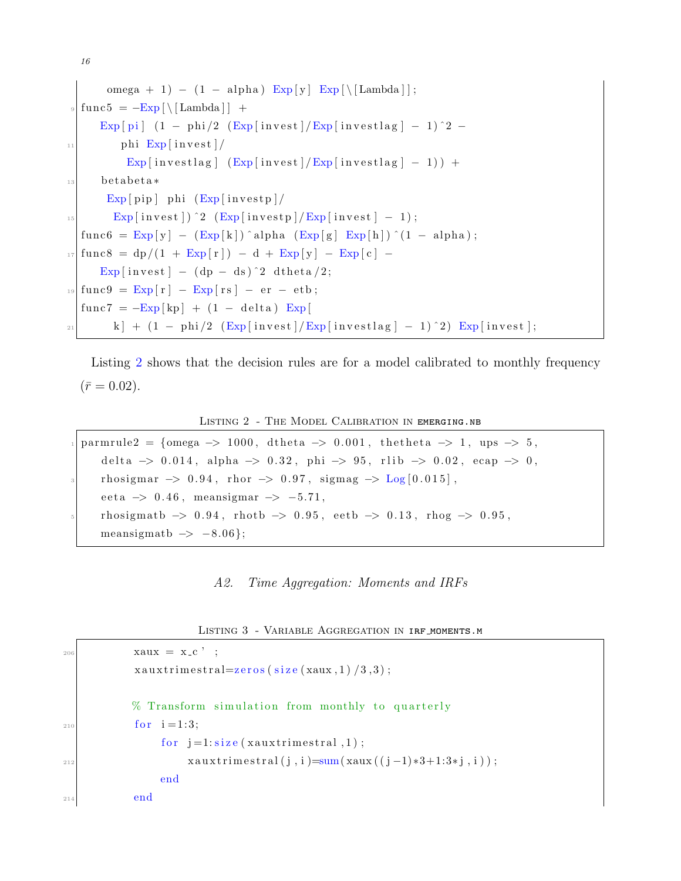```
omega + 1) – (1 - alpha) Exp [y] Exp [\ [Lambda ] ];
   func 5 = -Exp \[\bigwedge [Lambda] \] +\mathbb{E}xp [ pi ] ( 1 – phi /2 (\mathbb{E}xp [ invest ] / \mathbb{E}xp [ invest lag ] – 1 ) \hat{ } 2 –
\ln |\text{phi} \text{Exp}(\text{invest})|\mathbb{E}xp [investlag ] (\mathbb{E}xp [invest] / \mathbb{E}xp [investlag ] - 1)) +
13 betabeta*
         Exp[pip ] phi (Exp[investp]\text{Exp} [invest]) \hat{2} (Exp [invest p ]/Exp [invest ] - 1);
   func6 = \text{Exp}[y] - (\text{Exp}[k]) \hat{p} alpha (\text{Exp}[g] \text{Exp}[h]) \hat{p} (1 – alpha);
17 \left| \frac{\text{func8}}{9} - \frac{\text{dp}}{1 + \text{Exp}r} \right| = d + \frac{\text{Exp}}{y} - \frac{\text{Exp}}{c} -Exp \lceil \text{invest} \rceil - (\text{dp} - \text{ds})^2 \text{dtheta} / 2;_{19} func 9 = Exp [r] - Exp [rs] - er - etb;
   func 7 = -Exp[kp] + (1 - delta) Exp[\vert k \vert + (1 - \text{phi}/2 \text{ (Exp}[\text{investlag}] - 1)^2) \text{ Exp}[\text{invest}];
```
16

Listing [2](#page-16-1) shows that the decision rules are for a model calibrated to monthly frequency  $(\bar{r} = 0.02).$ 

LISTING 2 - THE MODEL CALIBRATION IN EMERGING.NB

```
parmrule2 = {omega \rightarrow 1000, dtheta \rightarrow 0.001, the the ta \rightarrow 1, ups \rightarrow 5,
    delta \rightarrow 0.014, alpha \rightarrow 0.32, phi \rightarrow 95, rlib \rightarrow 0.02, ecap \rightarrow 0,
    r \text{hosigma} \to 0.94, r \text{hor} \to 0.97, sigma \to \text{Log}[0.015],
    e e t a \rightarrow 0.46, meansigmar \rightarrow -5.71,
    rhosigmatb \Rightarrow 0.94, rhotb \Rightarrow 0.95, eetb \Rightarrow 0.13, rhog \Rightarrow 0.95,
    meansigmath \rightarrow -8.06};
```
A2. Time Aggregation: Moments and IRFs

Listing 3 - Variable Aggregation in irf moments.m

```
\begin{array}{rcl} \text{206} \\ \text{208} \end{array} xaux = x<sub>-C</sub>, ;
               x a u x t rimest r al=zeros (size (xaux, 1) /3,3);
               % Transform simulation from monthly to quarterly
_{210} for i = 1:3;for j=1:size(xauxtrimes.1);x \arctan\left(\frac{i}{3}, i\right) = \text{sum}\left(\text{x} \cdot i\left(\frac{i}{3} - 1\right) * 3 + 1:3 * i, i\right);end
214 end
```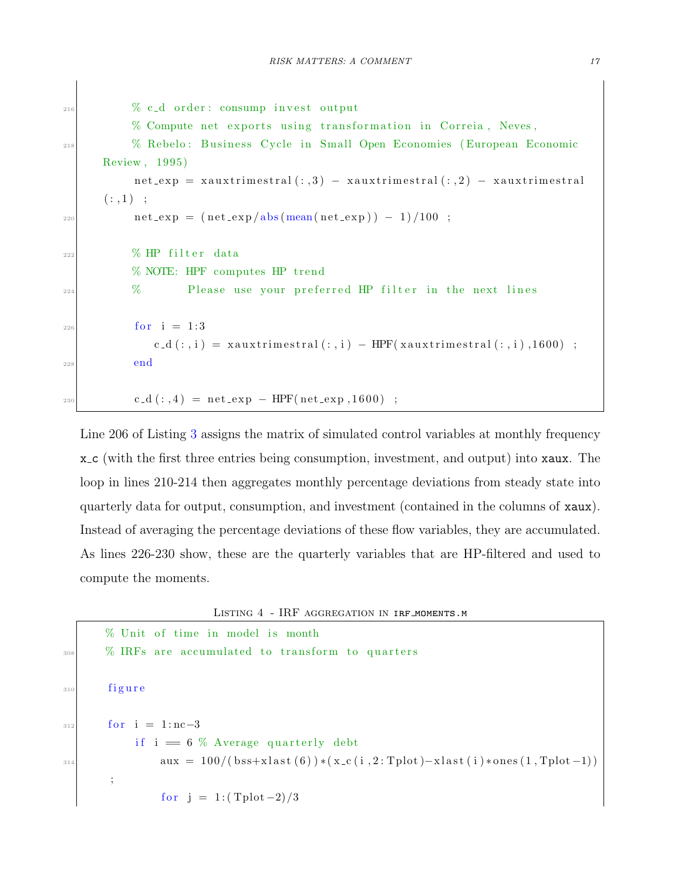```
\frac{216}{216} % c_d order: consump invest output
            % Compute net exports using transformation in Correia, Neves,
<sup>218</sup> % Rebelo: Business Cycle in Small Open Economies (European Economic
       Review, 1995)
             net\_exp = xauxtrimestral (:, 3) - xauxtrimestral (:, 2) - xauxtrimestral
       (:,1) ;
\begin{array}{rcl} \text{net} \text{-} \exp &=& \left( \frac{\text{net} \text{-} \exp / \text{abs} \left( \text{mean} \left( \text{net} \text{-} \exp \right) \right) - 1 \right) / 100 \end{array}\frac{222}{222} % HP filter data
            % NOTE: HPF computes HP trend
\frac{224}{} % Please use your preferred HP filter in the next lines
_{226} for i = 1:3c_d (:,i) = xauxtrimestral (:,i) - HPF(xauxtrimestral (:,i), 1600) ;
228 end
230 c_d (:,4) = net_exp - HPF(net_exp,1600) ;
```
Line 206 of Listing [3](#page-16-2) assigns the matrix of simulated control variables at monthly frequency x c (with the first three entries being consumption, investment, and output) into xaux. The loop in lines 210-214 then aggregates monthly percentage deviations from steady state into quarterly data for output, consumption, and investment (contained in the columns of xaux). Instead of averaging the percentage deviations of these flow variables, they are accumulated. As lines 226-230 show, these are the quarterly variables that are HP-filtered and used to compute the moments.

Listing 4 - IRF aggregation in irf moments.m

```
% Unit of time in model is month
\frac{308}{208} % IRFs are accumulated to transform to quarters
310 figure
_{312} for i = 1:nc−3
             if i = 6 \% Average quarterly debt
\text{aux} = 100 / (\text{bss} + \text{xlast}(6)) * (\text{x}_c(i, 2 : \text{Tplot}) - \text{xlast}(i) * \text{ones}(1, \text{Tplot}-1));
                  for j = 1 : (Tplot -2)/3
```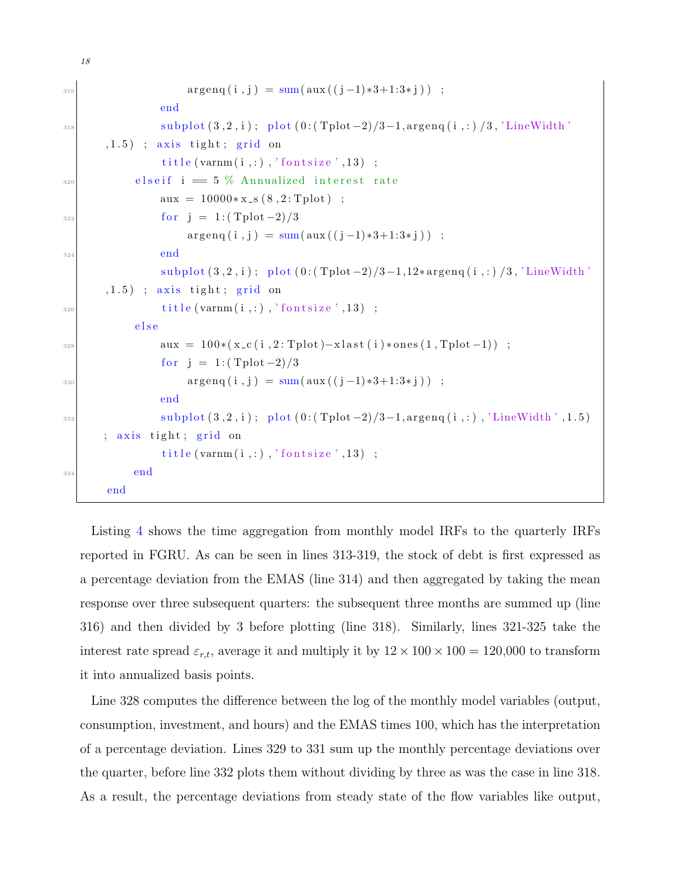```
\arg \exp(i, j) = \text{sum}(\text{aux}((j-1)*3+1:3*j));
                 end
\text{subplot}(3, 2, i); \text{plot}(0:(\text{Tplot}-2)/3-1, \text{argeng}(i,:)/3, \text{'LineWidth'}(1.5); axis tight; grid on
                  title (varmm(i, :), 'fontsize', 13) ;
_{\tiny{320}} elseif i = 5 % Annualized interest rate
                  aux = 10000*x_s(8, 2: Tplot);
\begin{array}{rcl} 322 & \text{for} & j = 1 : (\text{Tplot} - 2)/3 \end{array}argenq(i, j) = sum( aux((j-1)*3+1:3*j));
324 end
                  \text{subplot}(3, 2, i); \text{plot}(0:(\text{Tplot}-2)/3-1, 12*\text{argeng}(i,:)/3, \text{'LineWidth'}}(1.5); axis tight; grid on
\begin{array}{c} \text{13} \\ \text{14} \end{array} title (varnm (i, :), 'fontsize', 13);
             e l s e
328 \text{aux} = 100*(x_c(1, 2:Tplot) - xlast(i)*ones(1, Tplot -1));
                  for j = 1 : (Tplot -2)/3330 \arg \exp(i, j) = \sum (i + 1) * 3 + 1 : 3 * j);
                  end
\text{subplot}(3, 2, i); \text{ plot}(0:(\text{Tplot}-2)/3-1, \text{argeng}(i,:), \text{'LineWidth'}, 1.5)axis tight; grid on
                  title (varmm(i, :), 'fontsize', 13) ;
334 end
        end
```
18

Listing [4](#page-17-0) shows the time aggregation from monthly model IRFs to the quarterly IRFs reported in FGRU. As can be seen in lines 313-319, the stock of debt is first expressed as a percentage deviation from the EMAS (line 314) and then aggregated by taking the mean response over three subsequent quarters: the subsequent three months are summed up (line 316) and then divided by 3 before plotting (line 318). Similarly, lines 321-325 take the interest rate spread  $\varepsilon_{r,t}$ , average it and multiply it by  $12 \times 100 \times 100 = 120,000$  to transform it into annualized basis points.

Line 328 computes the difference between the log of the monthly model variables (output, consumption, investment, and hours) and the EMAS times 100, which has the interpretation of a percentage deviation. Lines 329 to 331 sum up the monthly percentage deviations over the quarter, before line 332 plots them without dividing by three as was the case in line 318. As a result, the percentage deviations from steady state of the flow variables like output,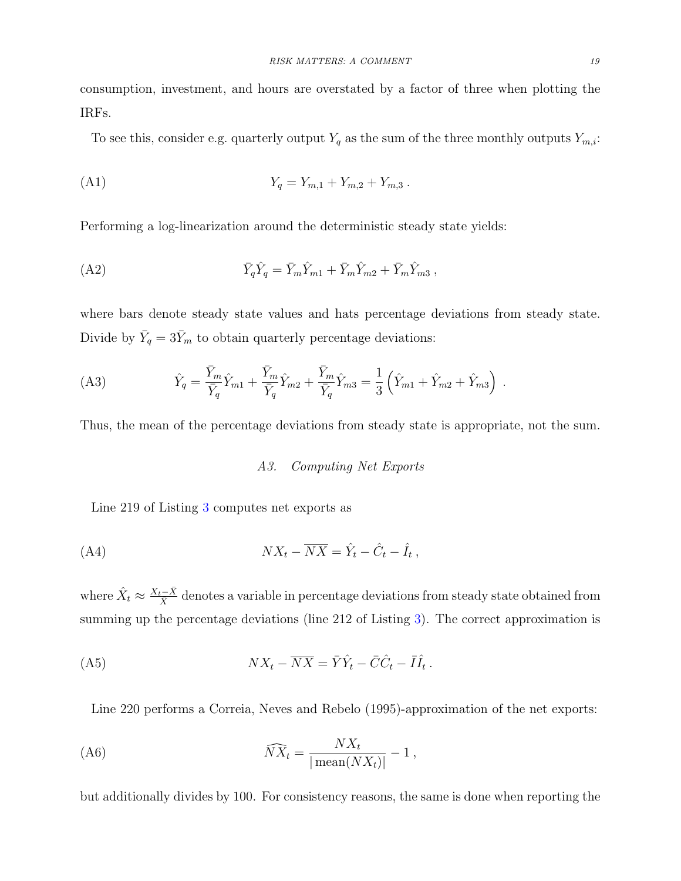consumption, investment, and hours are overstated by a factor of three when plotting the IRFs.

To see this, consider e.g. quarterly output  $Y_q$  as the sum of the three monthly outputs  $Y_{m,i}$ :

(A1) 
$$
Y_q = Y_{m,1} + Y_{m,2} + Y_{m,3}.
$$

Performing a log-linearization around the deterministic steady state yields:

(A2) 
$$
\bar{Y}_q \hat{Y}_q = \bar{Y}_m \hat{Y}_{m1} + \bar{Y}_m \hat{Y}_{m2} + \bar{Y}_m \hat{Y}_{m3} ,
$$

where bars denote steady state values and hats percentage deviations from steady state. Divide by  $\bar{Y}_q = 3\bar{Y}_m$  to obtain quarterly percentage deviations:

(A3) 
$$
\hat{Y}_q = \frac{\bar{Y}_m}{\bar{Y}_q} \hat{Y}_{m1} + \frac{\bar{Y}_m}{\bar{Y}_q} \hat{Y}_{m2} + \frac{\bar{Y}_m}{\bar{Y}_q} \hat{Y}_{m3} = \frac{1}{3} \left( \hat{Y}_{m1} + \hat{Y}_{m2} + \hat{Y}_{m3} \right) .
$$

<span id="page-19-0"></span>Thus, the mean of the percentage deviations from steady state is appropriate, not the sum.

# A3. Computing Net Exports

Line 219 of Listing [3](#page-16-2) computes net exports as

$$
(A4) \t\t N X_t - \overline{N X} = \hat{Y}_t - \hat{C}_t - \hat{I}_t,
$$

where  $\hat{X}_t \approx \frac{X_t - \bar{X}}{\bar{X}}$  denotes a variable in percentage deviations from steady state obtained from summing up the percentage deviations (line 212 of Listing [3\)](#page-16-2). The correct approximation is

$$
(A5) \t\t N X_t - \overline{N X} = \overline{Y} \hat{Y}_t - \overline{C} \hat{C}_t - \overline{I} \hat{I}_t.
$$

Line 220 performs a [Correia, Neves and Rebelo](#page-13-8) [\(1995\)](#page-13-8)-approximation of the net exports:

$$
\widehat{NX}_t = \frac{NX_t}{|\operatorname{mean}(NX_t)|} - 1,
$$

but additionally divides by 100. For consistency reasons, the same is done when reporting the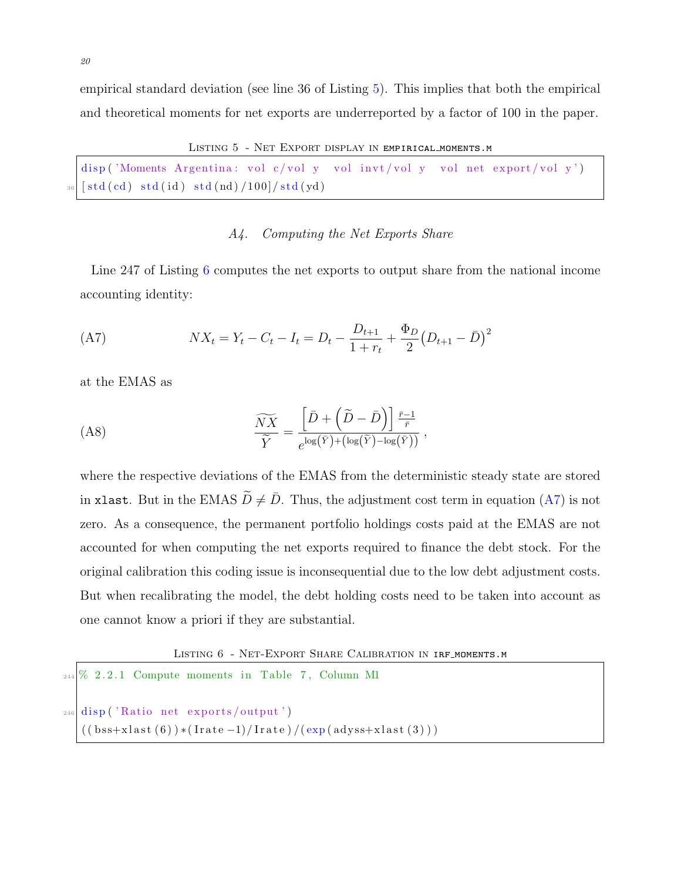empirical standard deviation (see line 36 of Listing [5\)](#page-20-1). This implies that both the empirical and theoretical moments for net exports are underreported by a factor of 100 in the paper.

LISTING 5 - NET EXPORT DISPLAY IN EMPIRICAL\_MOMENTS.M

```
disp ('Moments Argentina: vol c/vol y vol invt/vol y vol net export/vol y')
[std(cd) std(id) std(nd) / (100)
```
# <span id="page-20-3"></span>A4. Computing the Net Exports Share

<span id="page-20-0"></span>Line 247 of Listing [6](#page-20-2) computes the net exports to output share from the national income accounting identity:

(A7) 
$$
NX_t = Y_t - C_t - I_t = D_t - \frac{D_{t+1}}{1+r_t} + \frac{\Phi_D}{2} (D_{t+1} - \bar{D})^2
$$

at the EMAS as

$$
\frac{\widetilde{N}X}{\widetilde{Y}} = \frac{\left[\bar{D} + \left(\widetilde{D} - \bar{D}\right)\right] \frac{\bar{r}-1}{\bar{r}}}{e^{\log\left(\bar{Y}\right) + \left(\log\left(\tilde{Y}\right) - \log\left(\bar{Y}\right)\right)}},
$$

where the respective deviations of the EMAS from the deterministic steady state are stored in xlast. But in the EMAS  $\widetilde{D} \neq \overline{D}$ . Thus, the adjustment cost term in equation [\(A7\)](#page-20-3) is not zero. As a consequence, the permanent portfolio holdings costs paid at the EMAS are not accounted for when computing the net exports required to finance the debt stock. For the original calibration this coding issue is inconsequential due to the low debt adjustment costs. But when recalibrating the model, the debt holding costs need to be taken into account as one cannot know a priori if they are substantial.

Listing 6 - Net-Export Share Calibration in irf moments.m

```
_{244} % 2.2.1 Compute moments in Table 7, Column M1
_{246} disp ('Ratio net exports/output')
   ((bss+xlast(6)) * (Irate -1)/Irate) / (exp(adyss+xlast(3)))
```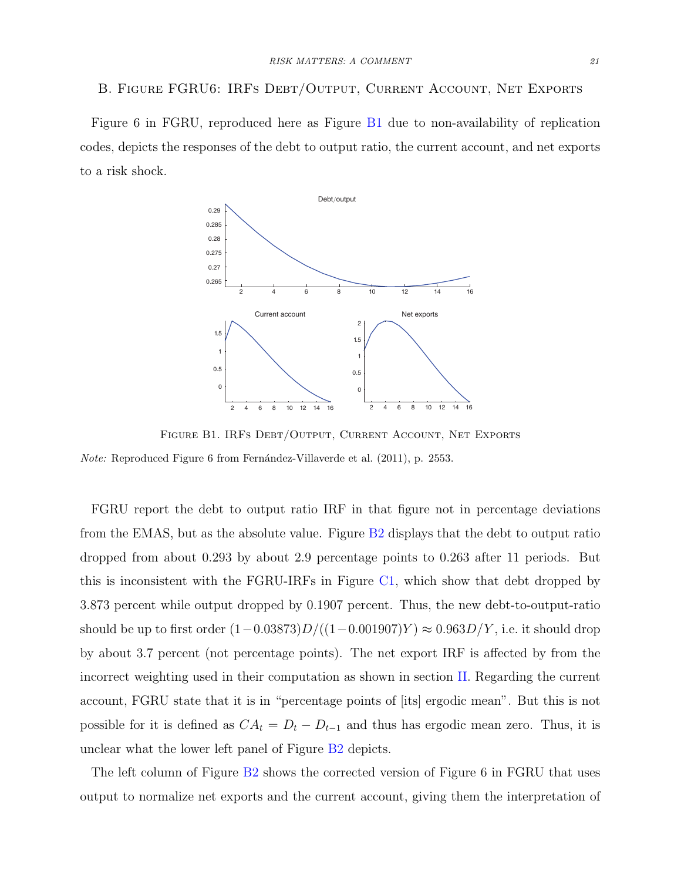#### <span id="page-21-0"></span>B. Figure FGRU6: IRFs Debt/Output, Current Account, Net Exports

Figure 6 in FGRU, reproduced here as Figure [B1](#page-21-1) due to non-availability of replication codes, depicts the responses of the debt to output ratio, the current account, and net exports to a risk shock. *V VOL. POL. POL. POL. POL. POL. POL. POL. POL. POL. Al. POL. Al. Al. POL. 25538 Book. 2553888book.* 



<span id="page-21-1"></span>*Note:* Reproduced Figure 6 from Fernández-Villaverde et al. [\(2011\)](#page-13-0), p. 2553. Figure B1. IRFs Debt/Output, Current Account, Net Exports

same as in the first row. The lesson from this third row is that our results are robust FGRU report the debt to output ratio IRF in that figure not in percentage deviations from the EMAS, but as the absolute value. Figure  $B2$  displays that the debt to output ratio dropped from about 0.293 by about 2.9 percentage points to 0.263 after 11 periods. But this is inconsistent with the FGRU-IRFs in Figure  $C1$ , which show that debt dropped by perturbation approach because of the nondifferentiability of threshold decision rules 3.873 percent while output dropped by 0.1907 percent. Thus, the new debt-to-output-ratio to be a lower  $(1 - 0.03873)D/((1 - 0.001907)Y) \approx 0.963D/Y$ , i. and Floetotto (2008) explore the real-option effects of volatility shocks in a model  $\mathcal{F}$ cant (not percentage points). The net export IRF is affected in by about 3.7 percent (not percentage points). The net export IRF is affected by from the incorrect weighting used in their computation as shown in section [II.](#page-7-0) Regarding the current to that it is in "perceptage points of litel ergedic mean" account, FGRU state that it is in "percentage points of [its] ergodic mean". But this is not defined as  $CA = D$  and thus bes excedie mean possible for it is defined as  $CA_t = D_t - D_{t-1}$  and thus has ergodic mean zero. Thus, it is should be up to first order  $(1-0.03873)D/((1-0.001907)Y) \approx 0.963D/Y$ , i.e. it should drop unclear what the lower left panel of Figure [B2](#page-22-0) depicts.

The left column of Figure [B2](#page-22-0) shows the corrected version of Figure 6 in FGRU that uses output to normalize net exports and the current account, giving them the interpretation of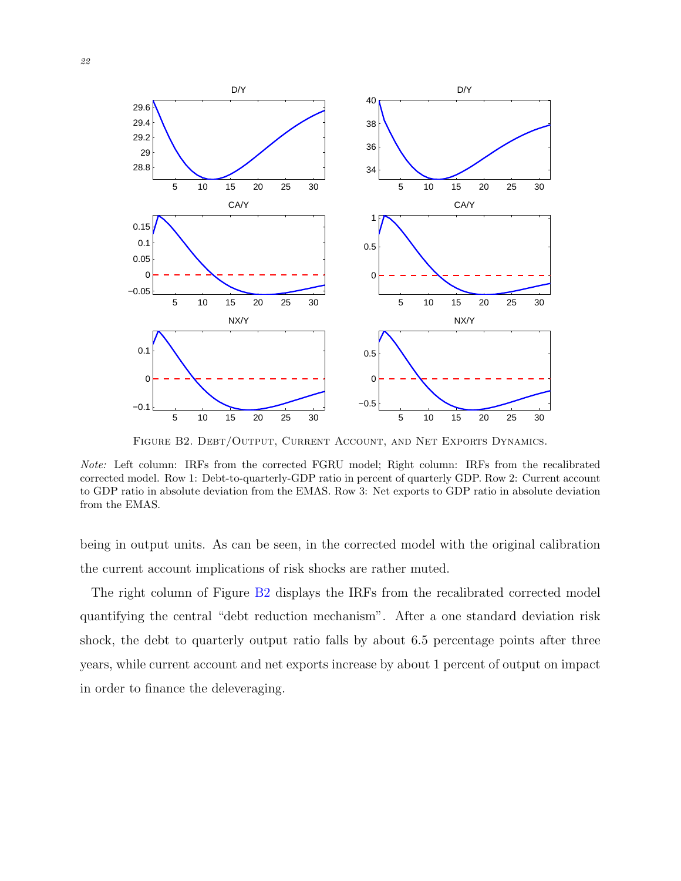

<span id="page-22-0"></span>FIGURE B2. DEBT/OUTPUT, CURRENT ACCOUNT, AND NET EXPORTS DYNAMICS.

Note: Left column: IRFs from the corrected FGRU model; Right column: IRFs from the recalibrated corrected model. Row 1: Debt-to-quarterly-GDP ratio in percent of quarterly GDP. Row 2: Current account to GDP ratio in absolute deviation from the EMAS. Row 3: Net exports to GDP ratio in absolute deviation from the EMAS.

being in output units. As can be seen, in the corrected model with the original calibration the current account implications of risk shocks are rather muted.

The right column of Figure [B2](#page-22-0) displays the IRFs from the recalibrated corrected model quantifying the central "debt reduction mechanism". After a one standard deviation risk shock, the debt to quarterly output ratio falls by about 6.5 percentage points after three years, while current account and net exports increase by about 1 percent of output on impact in order to finance the deleveraging.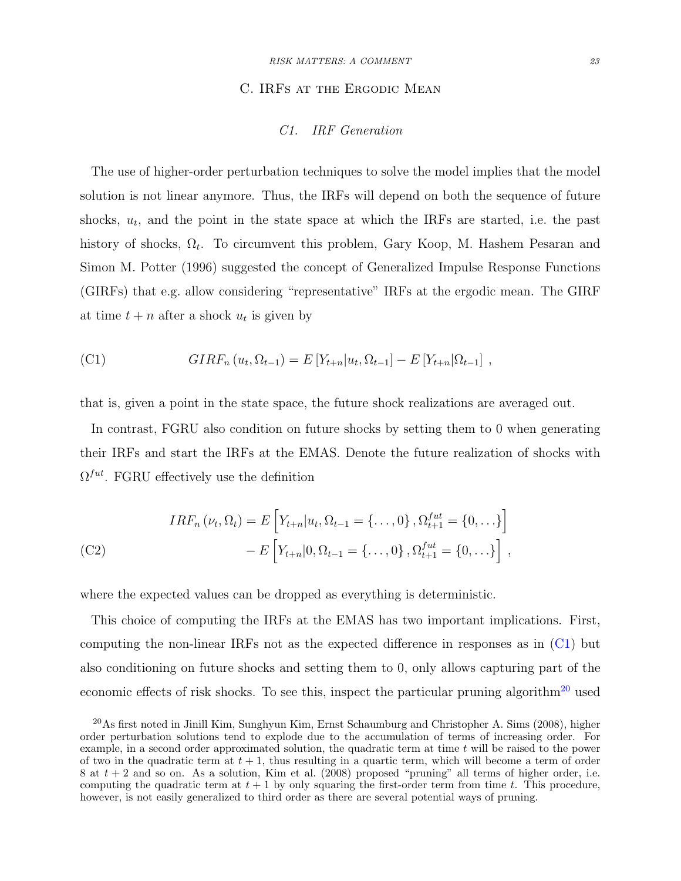#### C. IRFs at the Ergodic Mean

# C1. IRF Generation

<span id="page-23-0"></span>The use of higher-order perturbation techniques to solve the model implies that the model solution is not linear anymore. Thus, the IRFs will depend on both the sequence of future shocks,  $u_t$ , and the point in the state space at which the IRFs are started, i.e. the past history of shocks,  $\Omega_t$ . To circumvent this problem, [Gary Koop, M. Hashem Pesaran and](#page-14-7) [Simon M. Potter](#page-14-7) [\(1996\)](#page-14-7) suggested the concept of Generalized Impulse Response Functions (GIRFs) that e.g. allow considering "representative" IRFs at the ergodic mean. The GIRF at time  $t + n$  after a shock  $u_t$  is given by

<span id="page-23-1"></span>(C1) 
$$
GIRF_n(u_t, \Omega_{t-1}) = E[Y_{t+n}|u_t, \Omega_{t-1}] - E[Y_{t+n}|\Omega_{t-1}],
$$

that is, given a point in the state space, the future shock realizations are averaged out.

In contrast, FGRU also condition on future shocks by setting them to 0 when generating their IRFs and start the IRFs at the EMAS. Denote the future realization of shocks with  $\Omega^{fut}$ . FGRU effectively use the definition

( C2) 
$$
IRF_n(\nu_t, \Omega_t) = E\left[Y_{t+n}|u_t, \Omega_{t-1} = \{\ldots, 0\}, \Omega_{t+1}^{fut} = \{0, \ldots\}\right] - E\left[Y_{t+n}|0, \Omega_{t-1} = \{\ldots, 0\}, \Omega_{t+1}^{fut} = \{0, \ldots\}\right],
$$

where the expected values can be dropped as everything is deterministic.

This choice of computing the IRFs at the EMAS has two important implications. First, computing the non-linear IRFs not as the expected difference in responses as in [\(C1\)](#page-23-1) but also conditioning on future shocks and setting them to 0, only allows capturing part of the economic effects of risk shocks. To see this, inspect the particular pruning algorithm<sup>[20](#page-23-2)</sup> used

<span id="page-23-2"></span><sup>20</sup>As first noted in [Jinill Kim, Sunghyun Kim, Ernst Schaumburg and Christopher A. Sims](#page-14-8) [\(2008\)](#page-14-8), higher order perturbation solutions tend to explode due to the accumulation of terms of increasing order. For example, in a second order approximated solution, the quadratic term at time  $t$  will be raised to the power of two in the quadratic term at  $t + 1$ , thus resulting in a quartic term, which will become a term of order 8 at  $t + 2$  and so on. As a solution, [Kim et al.](#page-14-8) [\(2008\)](#page-14-8) proposed "pruning" all terms of higher order, i.e. computing the quadratic term at  $t + 1$  by only squaring the first-order term from time t. This procedure, however, is not easily generalized to third order as there are several potential ways of pruning.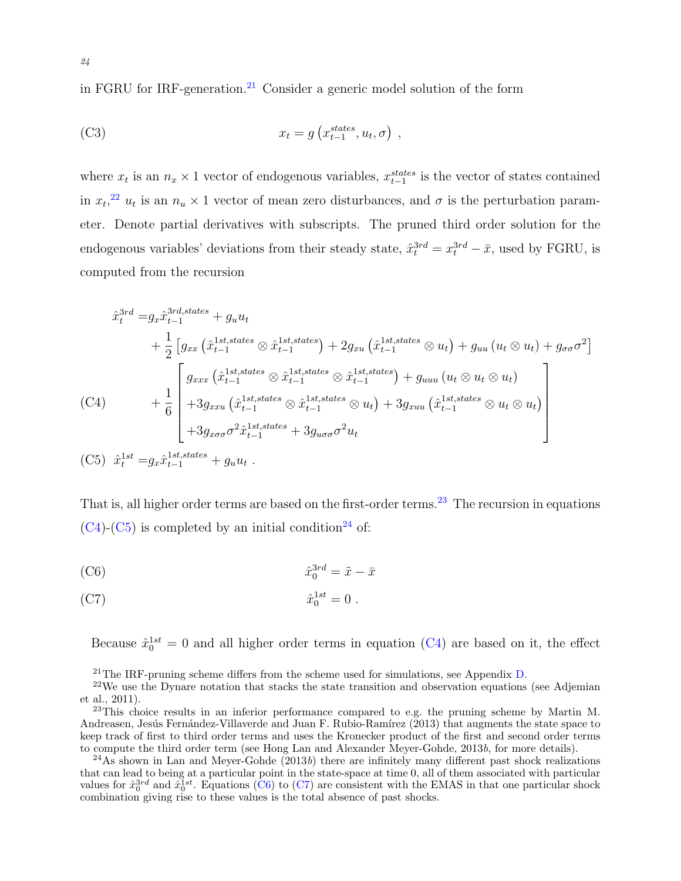in FGRU for IRF-generation.[21](#page-24-0) Consider a generic model solution of the form

(C3) 
$$
x_t = g\left(x_{t-1}^{states}, u_t, \sigma\right),
$$

where  $x_t$  is an  $n_x \times 1$  vector of endogenous variables,  $x_{t-1}^{states}$  is the vector of states contained in  $x_t$ <sup>[22](#page-24-1)</sup>,  $u_t$  is an  $n_u \times 1$  vector of mean zero disturbances, and  $\sigma$  is the perturbation parameter. Denote partial derivatives with subscripts. The pruned third order solution for the endogenous variables' deviations from their steady state,  $\hat{x}_t^{3rd} = x_t^{3rd} - \bar{x}$ , used by FGRU, is computed from the recursion

<span id="page-24-3"></span>
$$
\hat{x}_t^{3rd} = g_x \hat{x}_{t-1}^{3rd,states} + g_u u_t
$$
\n
$$
+ \frac{1}{2} \left[ g_{xx} \left( \hat{x}_{t-1}^{1st,states} \otimes \hat{x}_{t-1}^{1st,states} \right) + 2g_{xu} \left( \hat{x}_{t-1}^{1st,states} \otimes u_t \right) + g_{uu} \left( u_t \otimes u_t \right) + g_{\sigma\sigma} \sigma^2 \right]
$$
\n(C4)\n
$$
+ \frac{1}{6} \begin{bmatrix}\ng_{xxx} \left( \hat{x}_{t-1}^{1st,states} \otimes \hat{x}_{t-1}^{1st,states} \otimes \hat{x}_{t-1}^{1st,states} \right) + g_{uuu} \left( u_t \otimes u_t \otimes u_t \right) \\
+ 3g_{xxx} \left( \hat{x}_{t-1}^{1st,states} \otimes \hat{x}_{t-1}^{1st,states} \otimes u_t \right) + 3g_{xuu} \left( \hat{x}_{t-1}^{1st,states} \otimes u_t \otimes u_t \right) \\
+ 3g_{x\sigma\sigma} \sigma^2 \hat{x}_{t-1}^{1st,states} + 3g_{u\sigma\sigma} \sigma^2 u_t\n\end{bmatrix}
$$
\n(C5)\n
$$
\hat{x}_t^{1st} = g_x \hat{x}_{t-1}^{1st,states} + g_u u_t.
$$

<span id="page-24-4"></span>That is, all higher order terms are based on the first-order terms.<sup>[23](#page-24-2)</sup> The recursion in equations  $(C4)-(C5)$  $(C4)-(C5)$  $(C4)-(C5)$  is completed by an initial condition<sup>[24](#page-24-5)</sup> of:

<span id="page-24-7"></span><span id="page-24-6"></span>(C6) 
$$
\hat{x}_0^{3rd} = \tilde{x} - \bar{x}
$$

$$
\hat{x}_0^{1st} = 0.
$$

Because  $\hat{x}_0^{1st} = 0$  and all higher order terms in equation [\(C4\)](#page-24-3) are based on it, the effect

<span id="page-24-1"></span><span id="page-24-0"></span><sup>21</sup>The IRF-pruning scheme differs from the scheme used for simulations, see Appendix  $D$ .

<span id="page-24-2"></span> $^{23}$ This choice results in an inferior performance compared to e.g. the pruning scheme by [Martin M.](#page-13-9) Andreasen, Jesús Fernández-Villaverde and Juan F. Rubio-Ramírez [\(2013\)](#page-13-9) that augments the state space to keep track of first to third order terms and uses the Kronecker product of the first and second order terms to compute the third order term (see [Hong Lan and Alexander Meyer-Gohde,](#page-14-9) [2013](#page-14-9)b, for more details).

<span id="page-24-5"></span><sup>24</sup>As shown in [Lan and Meyer-Gohde](#page-14-9)  $(2013b)$  $(2013b)$  there are infinitely many different past shock realizations that can lead to being at a particular point in the state-space at time 0, all of them associated with particular values for  $\hat{x}_0^{3rd}$  and  $\hat{x}_0^{1st}$ . Equations [\(C6\)](#page-24-6) to [\(C7\)](#page-24-7) are consistent with the EMAS in that one particular shock combination giving rise to these values is the total absence of past shocks.

 $22$ We use the Dynare notation that stacks the state transition and observation equations (see [Adjemian](#page-12-3) [et al.,](#page-12-3) [2011\)](#page-12-3).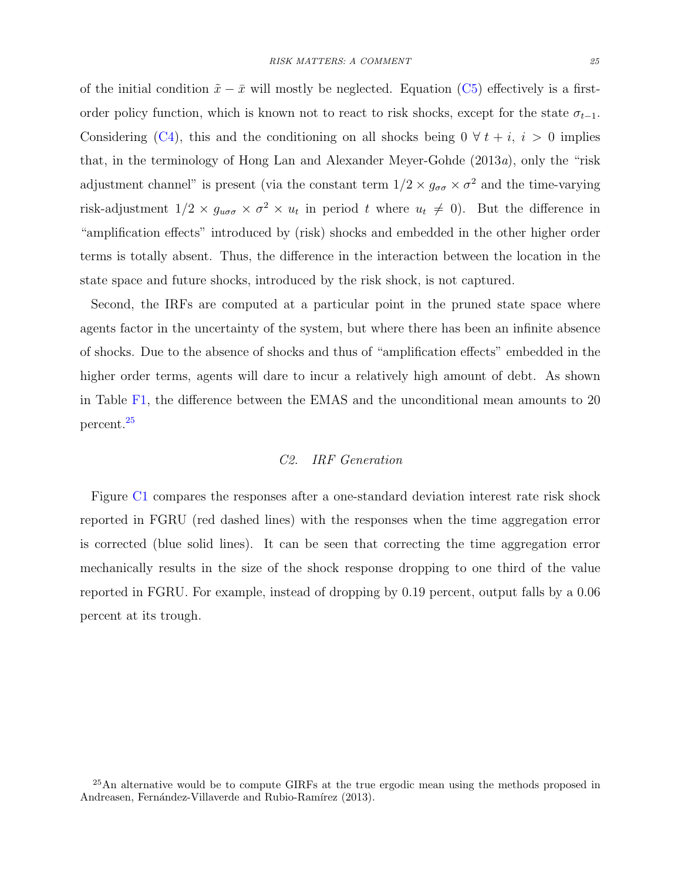of the initial condition  $\tilde{x} - \bar{x}$  will mostly be neglected. Equation [\(C5\)](#page-24-4) effectively is a firstorder policy function, which is known not to react to risk shocks, except for the state  $\sigma_{t-1}$ . Considering [\(C4\)](#page-24-3), this and the conditioning on all shocks being  $0 \forall t + i, i > 0$  implies that, in the terminology of [Hong Lan and Alexander Meyer-Gohde](#page-14-10) [\(2013](#page-14-10)a), only the "risk adjustment channel" is present (via the constant term  $1/2 \times g_{\sigma\sigma} \times \sigma^2$  and the time-varying risk-adjustment  $1/2 \times g_{u\sigma\sigma} \times \sigma^2 \times u_t$  in period t where  $u_t \neq 0$ . But the difference in "amplification effects" introduced by (risk) shocks and embedded in the other higher order terms is totally absent. Thus, the difference in the interaction between the location in the state space and future shocks, introduced by the risk shock, is not captured.

Second, the IRFs are computed at a particular point in the pruned state space where agents factor in the uncertainty of the system, but where there has been an infinite absence of shocks. Due to the absence of shocks and thus of "amplification effects" embedded in the higher order terms, agents will dare to incur a relatively high amount of debt. As shown in Table [F1,](#page-31-1) the difference between the EMAS and the unconditional mean amounts to 20 percent.[25](#page-25-0)

# C2. IRF Generation

Figure [C1](#page-26-0) compares the responses after a one-standard deviation interest rate risk shock reported in FGRU (red dashed lines) with the responses when the time aggregation error is corrected (blue solid lines). It can be seen that correcting the time aggregation error mechanically results in the size of the shock response dropping to one third of the value reported in FGRU. For example, instead of dropping by 0.19 percent, output falls by a 0.06 percent at its trough.

<span id="page-25-0"></span><sup>&</sup>lt;sup>25</sup>An alternative would be to compute GIRFs at the true ergodic mean using the methods proposed in Andreasen, Fernández-Villaverde and Rubio-Ramírez [\(2013\)](#page-13-9).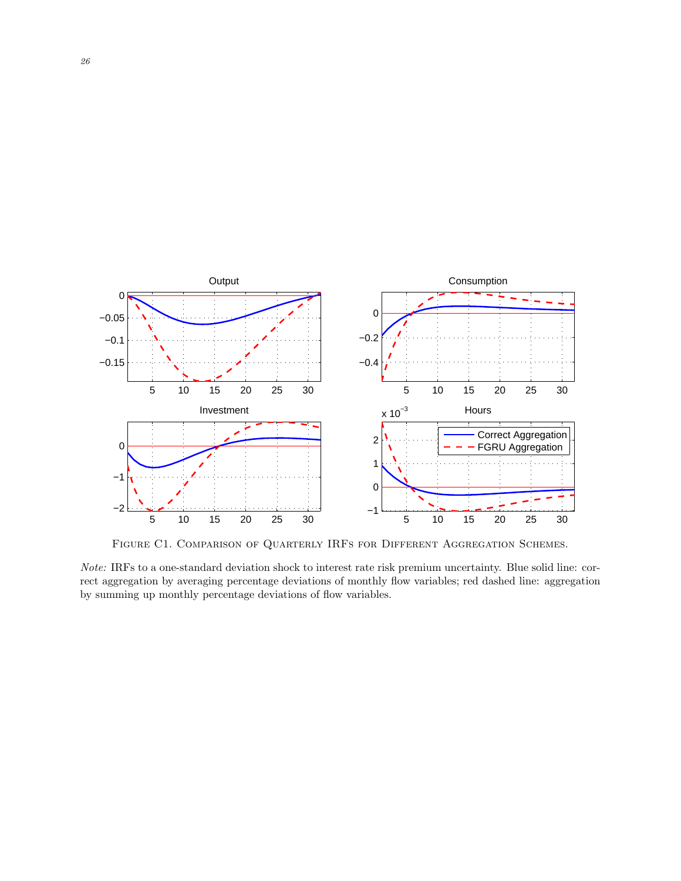

<span id="page-26-0"></span>FIGURE C1. COMPARISON OF QUARTERLY IRFS FOR DIFFERENT AGGREGATION SCHEMES.

Note: IRFs to a one-standard deviation shock to interest rate risk premium uncertainty. Blue solid line: correct aggregation by averaging percentage deviations of monthly flow variables; red dashed line: aggregation by summing up monthly percentage deviations of flow variables.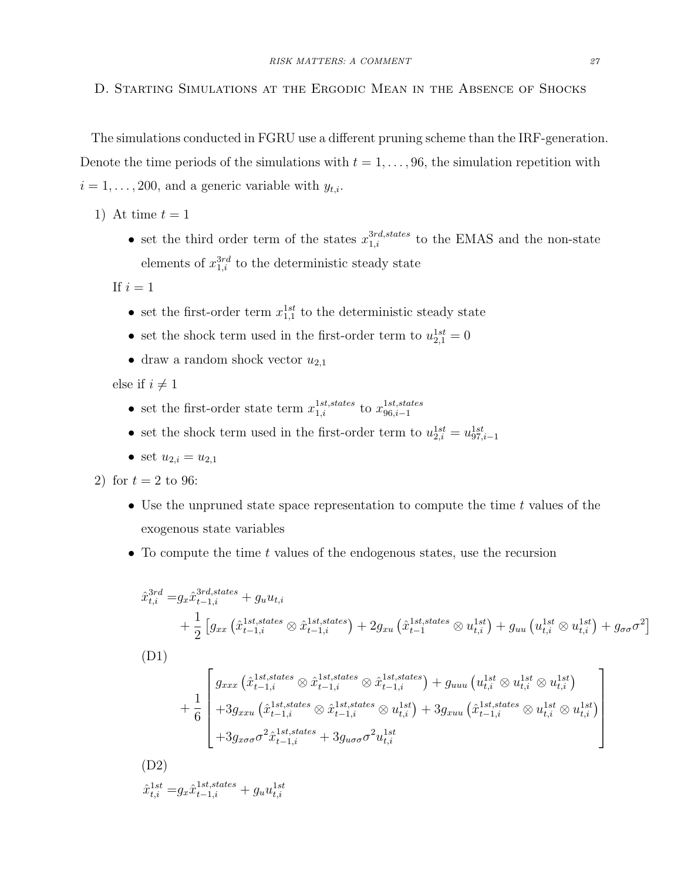<span id="page-27-0"></span>The simulations conducted in FGRU use a different pruning scheme than the IRF-generation. Denote the time periods of the simulations with  $t = 1, \ldots, 96$ , the simulation repetition with  $i = 1, \ldots, 200$ , and a generic variable with  $y_{t,i}$ .

1) At time  $t = 1$ 

• set the third order term of the states  $x_{1,i}^{3rd, states}$  to the EMAS and the non-state elements of  $x_{1,i}^{3rd}$  to the deterministic steady state

If  $i = 1$ 

- set the first-order term  $x_{1,1}^{1st}$  to the deterministic steady state
- set the shock term used in the first-order term to  $u_{2,1}^{1st} = 0$
- draw a random shock vector  $u_{2,1}$

else if  $i \neq 1$ 

- set the first-order state term  $x_{1,i}^{1st, states}$  to  $x_{96,i-1}^{1st, states}$  $96,i-1$
- set the shock term used in the first-order term to  $u_{2,i}^{1st} = u_{97,i-1}^{1st}$
- set  $u_{2,i} = u_{2,1}$

2) for  $t = 2$  to 96:

- Use the unpruned state space representation to compute the time  $t$  values of the exogenous state variables
- To compute the time  $t$  values of the endogenous states, use the recursion

$$
\hat{x}_{t,i}^{3rd} = g_x \hat{x}_{t-1,i}^{3rd,states} + g_u u_{t,i}
$$
\n
$$
+ \frac{1}{2} \left[ g_{xx} \left( \hat{x}_{t-1,i}^{1st,states} \otimes \hat{x}_{t-1,i}^{1st,states} \right) + 2g_{xu} \left( \hat{x}_{t-1}^{1st,states} \otimes u_{t,i}^{1st} \right) + g_{uu} \left( u_{t,i}^{1st} \otimes u_{t,i}^{1st} \right) + g_{\sigma\sigma}\sigma^2 \right]
$$
\n(D1)\n
$$
+ \frac{1}{6} \begin{bmatrix} g_{xxx} \left( \hat{x}_{t-1,i}^{1st,states} \otimes \hat{x}_{t-1,i}^{1st,states} \otimes \hat{x}_{t-1,i}^{1st,states} \right) + g_{uu} \left( u_{t,i}^{1st} \otimes u_{t,i}^{1st} \otimes u_{t,i}^{1st} \right) \\ + 3g_{xxu} \left( \hat{x}_{t-1,i}^{1st,states} \otimes \hat{x}_{t-1,i}^{1st,states} \otimes u_{t,i}^{1st} \right) + 3g_{xuu} \left( \hat{x}_{t-1,i}^{1st,states} \otimes u_{t,i}^{1st} \otimes u_{t,i}^{1st} \right) \\ + 3g_{x\sigma\sigma}\sigma^2 \hat{x}_{t-1,i}^{1st,states} + 3g_{u\sigma\sigma}\sigma^2 u_{t,i}^{1st}
$$
\n(D2)

 $\hat{x}_{t,i}^{1st} = g_x \hat{x}_{t-1,i}^{1st, states} + g_u u_{t,i}^{1st}$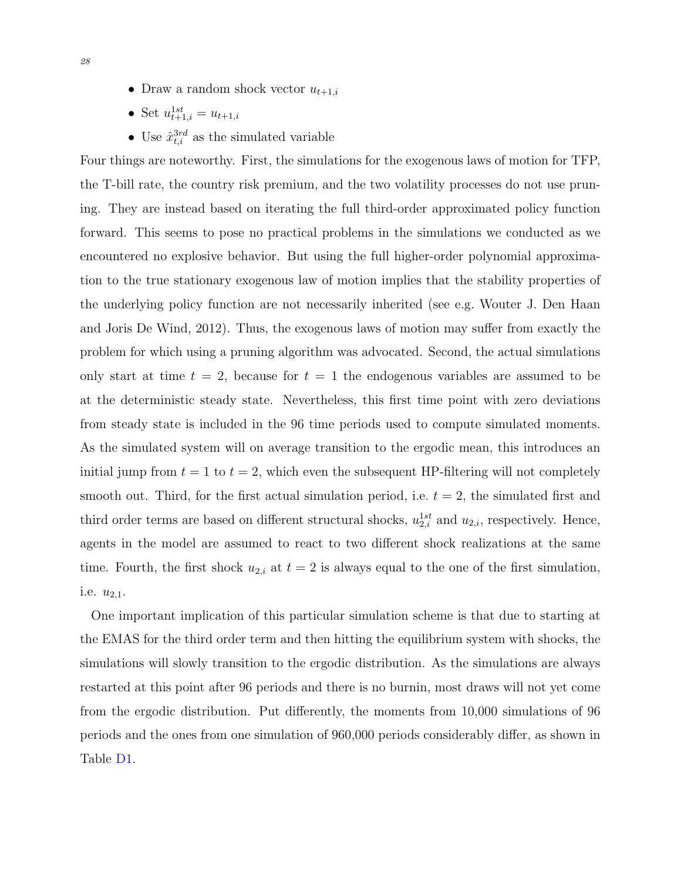- Draw a random shock vector  $u_{t+1,i}$
- Set  $u_{t+1,i}^{1st} = u_{t+1,i}$
- Use  $\hat{x}_{t,i}^{3rd}$  as the simulated variable

Four things are noteworthy. First, the simulations for the exogenous laws of motion for TFP, the T-bill rate, the country risk premium, and the two volatility processes do not use pruning. They are instead based on iterating the full third-order approximated policy function forward. This seems to pose no practical problems in the simulations we conducted as we encountered no explosive behavior. But using the full higher-order polynomial approximation to the true stationary exogenous law of motion implies that the stability properties of the underlying policy function are not necessarily inherited (see e.g. [Wouter J. Den Haan](#page-13-10) [and Joris De Wind,](#page-13-10) [2012\)](#page-13-10). Thus, the exogenous laws of motion may suffer from exactly the problem for which using a pruning algorithm was advocated. Second, the actual simulations only start at time  $t = 2$ , because for  $t = 1$  the endogenous variables are assumed to be at the deterministic steady state. Nevertheless, this first time point with zero deviations from steady state is included in the 96 time periods used to compute simulated moments. As the simulated system will on average transition to the ergodic mean, this introduces an initial jump from  $t = 1$  to  $t = 2$ , which even the subsequent HP-filtering will not completely smooth out. Third, for the first actual simulation period, i.e.  $t = 2$ , the simulated first and third order terms are based on different structural shocks,  $u_{2,i}^{1st}$  and  $u_{2,i}$ , respectively. Hence, agents in the model are assumed to react to two different shock realizations at the same time. Fourth, the first shock  $u_{2,i}$  at  $t = 2$  is always equal to the one of the first simulation, i.e.  $u_{2,1}$ .

One important implication of this particular simulation scheme is that due to starting at the EMAS for the third order term and then hitting the equilibrium system with shocks, the simulations will slowly transition to the ergodic distribution. As the simulations are always restarted at this point after 96 periods and there is no burnin, most draws will not yet come from the ergodic distribution. Put differently, the moments from 10,000 simulations of 96 periods and the ones from one simulation of 960,000 periods considerably differ, as shown in Table [D1.](#page-29-0)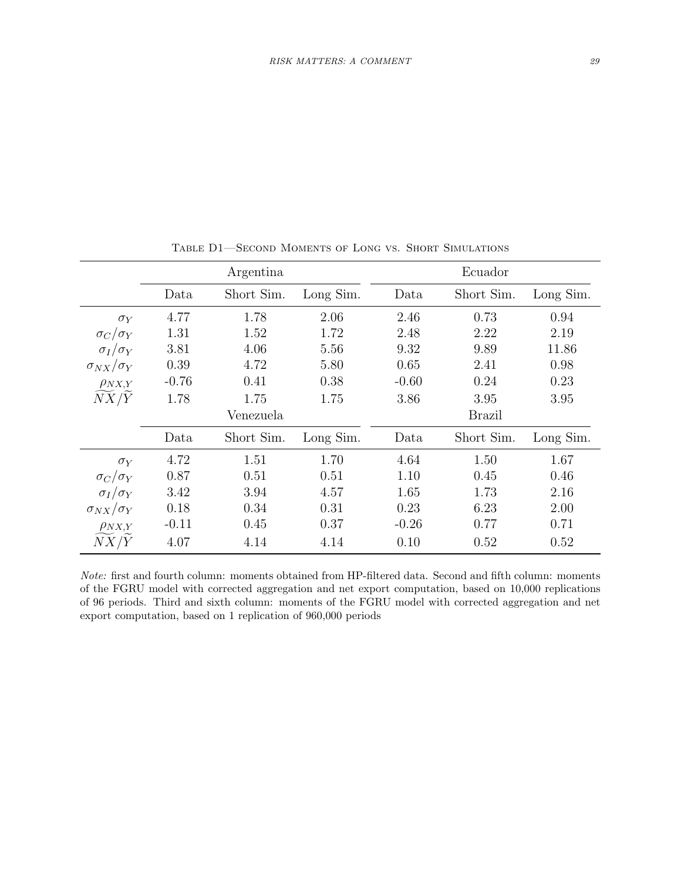|                                |         |            |           |         | Ecuador       |           |  |
|--------------------------------|---------|------------|-----------|---------|---------------|-----------|--|
|                                |         | Argentina  |           |         |               |           |  |
|                                | Data    | Short Sim. | Long Sim. | Data    | Short Sim.    | Long Sim. |  |
| $\sigma_Y$                     | 4.77    | 1.78       | 2.06      | 2.46    | 0.73          | 0.94      |  |
| $\sigma_C/\sigma_Y$            | 1.31    | 1.52       | 1.72      | 2.48    | 2.22          | 2.19      |  |
| $\sigma_I/\sigma_Y$            | 3.81    | 4.06       | 5.56      | 9.32    | 9.89          | 11.86     |  |
| $\sigma_{NX}/\sigma_Y$         | 0.39    | 4.72       | 5.80      | 0.65    | 2.41          | 0.98      |  |
| $\rho_{NX,Y}$                  | $-0.76$ | 0.41       | 0.38      | $-0.60$ | 0.24          | 0.23      |  |
| $\widetilde{NX}/\widetilde{Y}$ | 1.78    | 1.75       | 1.75      | 3.86    | 3.95          | 3.95      |  |
|                                |         | Venezuela  |           |         | <b>Brazil</b> |           |  |
|                                | Data    | Short Sim. | Long Sim. | Data    | Short Sim.    | Long Sim. |  |
| $\sigma_Y$                     | 4.72    | 1.51       | 1.70      | 4.64    | 1.50          | 1.67      |  |
| $\sigma_C/\sigma_Y$            | 0.87    | 0.51       | 0.51      | 1.10    | 0.45          | 0.46      |  |
| $\sigma_I/\sigma_Y$            | 3.42    | 3.94       | 4.57      | 1.65    | 1.73          | 2.16      |  |
| $\sigma_{NX}/\sigma_Y$         | 0.18    | 0.34       | 0.31      | 0.23    | 6.23          | 2.00      |  |
| $\rho_{NX,Y}$                  | $-0.11$ | 0.45       | 0.37      | $-0.26$ | 0.77          | 0.71      |  |
| NX/Y                           | 4.07    | 4.14       | 4.14      | 0.10    | 0.52          | 0.52      |  |

<span id="page-29-0"></span>Table D1—Second Moments of Long vs. Short Simulations

Note: first and fourth column: moments obtained from HP-filtered data. Second and fifth column: moments of the FGRU model with corrected aggregation and net export computation, based on 10,000 replications of 96 periods. Third and sixth column: moments of the FGRU model with corrected aggregation and net export computation, based on 1 replication of 960,000 periods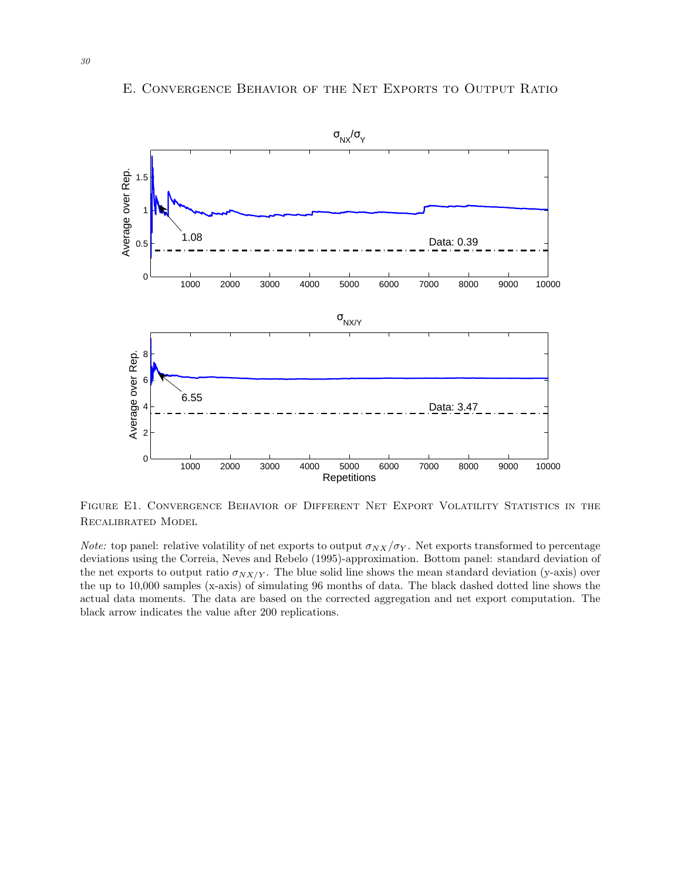

# <span id="page-30-0"></span>E. Convergence Behavior of the Net Exports to Output Ratio

Figure E1. Convergence Behavior of Different Net Export Volatility Statistics in the Recalibrated Model

*Note:* top panel: relative volatility of net exports to output  $\sigma_{NX}/\sigma_Y$ . Net exports transformed to percentage deviations using the [Correia, Neves and Rebelo](#page-13-8) [\(1995\)](#page-13-8)-approximation. Bottom panel: standard deviation of the net exports to output ratio  $\sigma_{NX/Y}$ . The blue solid line shows the mean standard deviation (y-axis) over the up to 10,000 samples (x-axis) of simulating 96 months of data. The black dashed dotted line shows the actual data moments. The data are based on the corrected aggregation and net export computation. The black arrow indicates the value after 200 replications.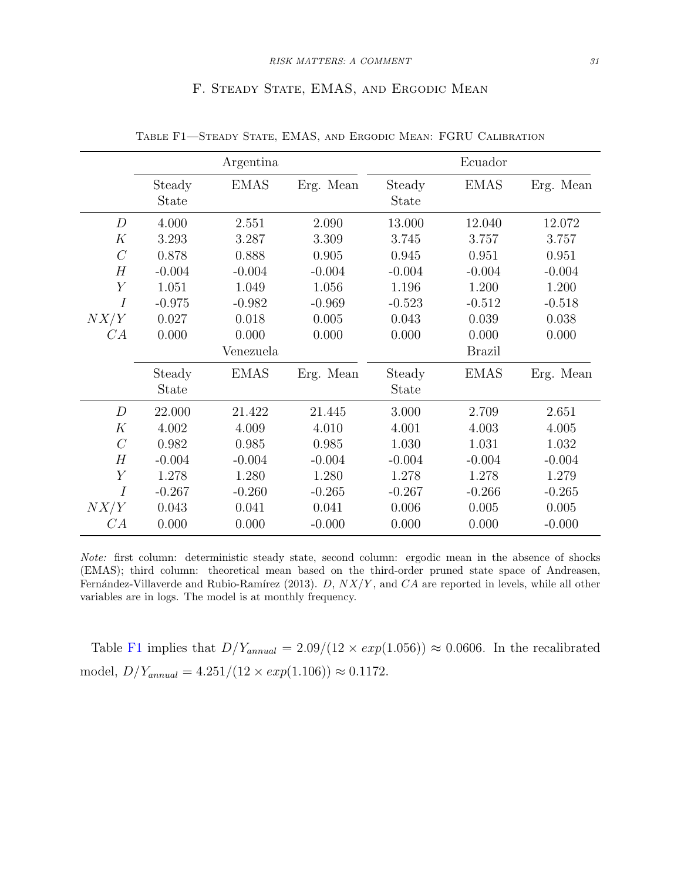# <span id="page-31-1"></span>F. STEADY STATE, EMAS, AND ERGODIC MEAN

<span id="page-31-0"></span>

|                  |                        | Argentina   |           |                        | Ecuador       |           |
|------------------|------------------------|-------------|-----------|------------------------|---------------|-----------|
|                  | Steady<br><b>State</b> | <b>EMAS</b> | Erg. Mean | Steady<br>State        | <b>EMAS</b>   | Erg. Mean |
| $\boldsymbol{D}$ | 4.000                  | 2.551       | 2.090     | 13.000                 | 12.040        | 12.072    |
| K                | 3.293                  | 3.287       | 3.309     | 3.745                  | 3.757         | 3.757     |
| $\mathcal{C}$    | 0.878                  | 0.888       | 0.905     | 0.945                  | 0.951         | 0.951     |
| H                | $-0.004$               | $-0.004$    | $-0.004$  | $-0.004$               | $-0.004$      | $-0.004$  |
| $\overline{Y}$   | 1.051                  | 1.049       | 1.056     | 1.196                  | 1.200         | 1.200     |
| $\overline{I}$   | $-0.975$               | $-0.982$    | $-0.969$  | $-0.523$               | $-0.512$      | $-0.518$  |
| NX/Y             | 0.027                  | 0.018       | 0.005     | 0.043                  | 0.039         | 0.038     |
| CA               | 0.000                  | 0.000       | 0.000     | 0.000                  | 0.000         | 0.000     |
|                  |                        | Venezuela   |           |                        | <b>Brazil</b> |           |
|                  | Steady<br><b>State</b> | <b>EMAS</b> | Erg. Mean | Steady<br><b>State</b> | <b>EMAS</b>   | Erg. Mean |
| $\boldsymbol{D}$ | 22.000                 | 21.422      | 21.445    | 3.000                  | 2.709         | 2.651     |
| K                | 4.002                  | 4.009       | 4.010     | 4.001                  | 4.003         | 4.005     |
| $\mathcal{C}$    | 0.982                  | 0.985       | 0.985     | 1.030                  | 1.031         | 1.032     |
| H                | $-0.004$               | $-0.004$    | $-0.004$  | $-0.004$               | $-0.004$      | $-0.004$  |
| Y                | 1.278                  | 1.280       | 1.280     | 1.278                  | 1.278         | 1.279     |
| $\overline{I}$   | $-0.267$               | $-0.260$    | $-0.265$  | $-0.267$               | $-0.266$      | $-0.265$  |
| NX/Y             | 0.043                  | 0.041       | 0.041     | 0.006                  | 0.005         | 0.005     |
| CA               | 0.000                  | 0.000       | $-0.000$  | 0.000                  | 0.000         | $-0.000$  |

Table F1—Steady State, EMAS, and Ergodic Mean: FGRU Calibration

Note: first column: deterministic steady state, second column: ergodic mean in the absence of shocks (EMAS); third column: theoretical mean based on the third-order pruned state space of [Andreasen,](#page-13-9) Fernández-Villaverde and Rubio-Ramírez [\(2013\)](#page-13-9). D,  $NX/Y$ , and CA are reported in levels, while all other variables are in logs. The model is at monthly frequency.

Table [F1](#page-31-1) implies that  $D/Y_{annual} = 2.09/(12 \times exp(1.056)) \approx 0.0606$ . In the recalibrated model,  $D/Y_{annual} = 4.251/(12 \times exp(1.106)) \approx 0.1172$ .